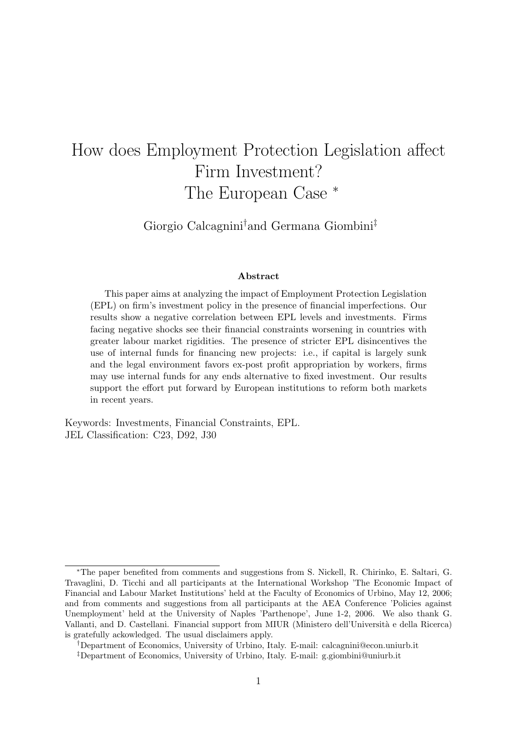# How does Employment Protection Legislation affect Firm Investment? The European Case  $*$

Giorgio Calcagnini†and Germana Giombini‡

#### Abstract

This paper aims at analyzing the impact of Employment Protection Legislation (EPL) on firm's investment policy in the presence of financial imperfections. Our results show a negative correlation between EPL levels and investments. Firms facing negative shocks see their financial constraints worsening in countries with greater labour market rigidities. The presence of stricter EPL disincentives the use of internal funds for financing new projects: i.e., if capital is largely sunk and the legal environment favors ex-post profit appropriation by workers, firms may use internal funds for any ends alternative to fixed investment. Our results support the effort put forward by European institutions to reform both markets in recent years.

Keywords: Investments, Financial Constraints, EPL. JEL Classification: C23, D92, J30

<sup>∗</sup>The paper benefited from comments and suggestions from S. Nickell, R. Chirinko, E. Saltari, G. Travaglini, D. Ticchi and all participants at the International Workshop 'The Economic Impact of Financial and Labour Market Institutions' held at the Faculty of Economics of Urbino, May 12, 2006; and from comments and suggestions from all participants at the AEA Conference 'Policies against Unemployment' held at the University of Naples 'Parthenope', June 1-2, 2006. We also thank G. Vallanti, and D. Castellani. Financial support from MIUR (Ministero dell'Universit`a e della Ricerca) is gratefully ackowledged. The usual disclaimers apply.

<sup>†</sup>Department of Economics, University of Urbino, Italy. E-mail: calcagnini@econ.uniurb.it

<sup>‡</sup>Department of Economics, University of Urbino, Italy. E-mail: g.giombini@uniurb.it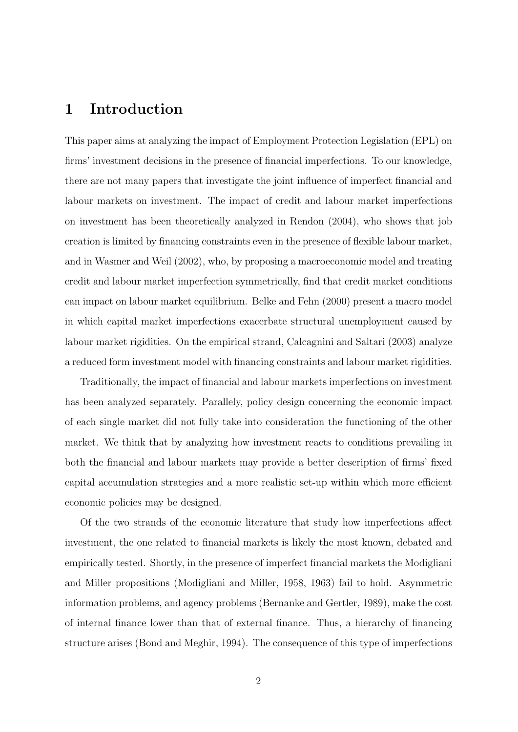## 1 Introduction

This paper aims at analyzing the impact of Employment Protection Legislation (EPL) on firms' investment decisions in the presence of financial imperfections. To our knowledge, there are not many papers that investigate the joint influence of imperfect financial and labour markets on investment. The impact of credit and labour market imperfections on investment has been theoretically analyzed in Rendon (2004), who shows that job creation is limited by financing constraints even in the presence of flexible labour market, and in Wasmer and Weil (2002), who, by proposing a macroeconomic model and treating credit and labour market imperfection symmetrically, find that credit market conditions can impact on labour market equilibrium. Belke and Fehn (2000) present a macro model in which capital market imperfections exacerbate structural unemployment caused by labour market rigidities. On the empirical strand, Calcagnini and Saltari (2003) analyze a reduced form investment model with financing constraints and labour market rigidities.

Traditionally, the impact of financial and labour markets imperfections on investment has been analyzed separately. Parallely, policy design concerning the economic impact of each single market did not fully take into consideration the functioning of the other market. We think that by analyzing how investment reacts to conditions prevailing in both the financial and labour markets may provide a better description of firms' fixed capital accumulation strategies and a more realistic set-up within which more efficient economic policies may be designed.

Of the two strands of the economic literature that study how imperfections affect investment, the one related to financial markets is likely the most known, debated and empirically tested. Shortly, in the presence of imperfect financial markets the Modigliani and Miller propositions (Modigliani and Miller, 1958, 1963) fail to hold. Asymmetric information problems, and agency problems (Bernanke and Gertler, 1989), make the cost of internal finance lower than that of external finance. Thus, a hierarchy of financing structure arises (Bond and Meghir, 1994). The consequence of this type of imperfections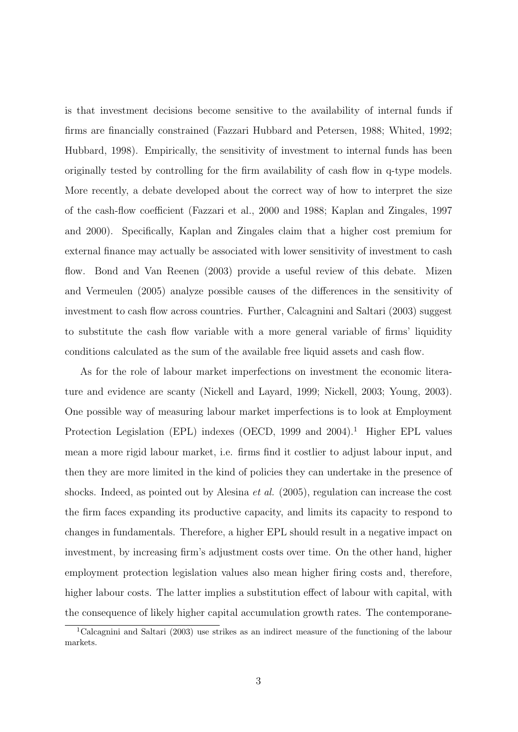is that investment decisions become sensitive to the availability of internal funds if firms are financially constrained (Fazzari Hubbard and Petersen, 1988; Whited, 1992; Hubbard, 1998). Empirically, the sensitivity of investment to internal funds has been originally tested by controlling for the firm availability of cash flow in q-type models. More recently, a debate developed about the correct way of how to interpret the size of the cash-flow coefficient (Fazzari et al., 2000 and 1988; Kaplan and Zingales, 1997 and 2000). Specifically, Kaplan and Zingales claim that a higher cost premium for external finance may actually be associated with lower sensitivity of investment to cash flow. Bond and Van Reenen (2003) provide a useful review of this debate. Mizen and Vermeulen (2005) analyze possible causes of the differences in the sensitivity of investment to cash flow across countries. Further, Calcagnini and Saltari (2003) suggest to substitute the cash flow variable with a more general variable of firms' liquidity conditions calculated as the sum of the available free liquid assets and cash flow.

As for the role of labour market imperfections on investment the economic literature and evidence are scanty (Nickell and Layard, 1999; Nickell, 2003; Young, 2003). One possible way of measuring labour market imperfections is to look at Employment Protection Legislation (EPL) indexes (OECD, 1999 and 2004).<sup>1</sup> Higher EPL values mean a more rigid labour market, i.e. firms find it costlier to adjust labour input, and then they are more limited in the kind of policies they can undertake in the presence of shocks. Indeed, as pointed out by Alesina et al. (2005), regulation can increase the cost the firm faces expanding its productive capacity, and limits its capacity to respond to changes in fundamentals. Therefore, a higher EPL should result in a negative impact on investment, by increasing firm's adjustment costs over time. On the other hand, higher employment protection legislation values also mean higher firing costs and, therefore, higher labour costs. The latter implies a substitution effect of labour with capital, with the consequence of likely higher capital accumulation growth rates. The contemporane-

<sup>1</sup>Calcagnini and Saltari (2003) use strikes as an indirect measure of the functioning of the labour markets.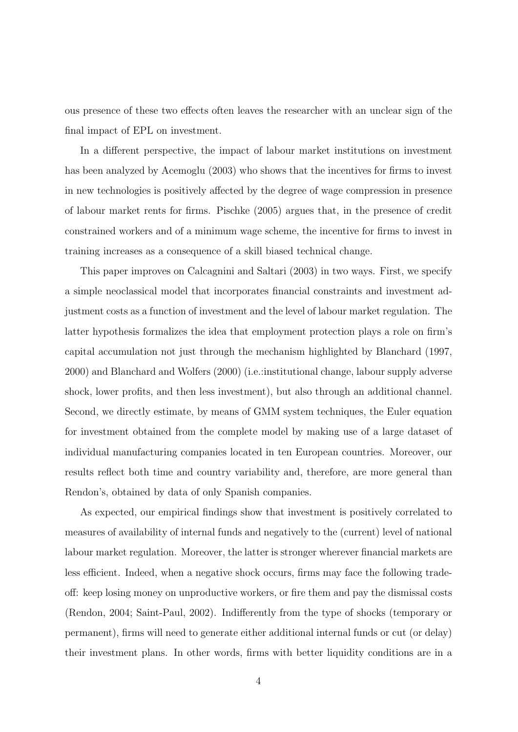ous presence of these two effects often leaves the researcher with an unclear sign of the final impact of EPL on investment.

In a different perspective, the impact of labour market institutions on investment has been analyzed by Acemoglu (2003) who shows that the incentives for firms to invest in new technologies is positively affected by the degree of wage compression in presence of labour market rents for firms. Pischke (2005) argues that, in the presence of credit constrained workers and of a minimum wage scheme, the incentive for firms to invest in training increases as a consequence of a skill biased technical change.

This paper improves on Calcagnini and Saltari (2003) in two ways. First, we specify a simple neoclassical model that incorporates financial constraints and investment adjustment costs as a function of investment and the level of labour market regulation. The latter hypothesis formalizes the idea that employment protection plays a role on firm's capital accumulation not just through the mechanism highlighted by Blanchard (1997, 2000) and Blanchard and Wolfers (2000) (i.e.:institutional change, labour supply adverse shock, lower profits, and then less investment), but also through an additional channel. Second, we directly estimate, by means of GMM system techniques, the Euler equation for investment obtained from the complete model by making use of a large dataset of individual manufacturing companies located in ten European countries. Moreover, our results reflect both time and country variability and, therefore, are more general than Rendon's, obtained by data of only Spanish companies.

As expected, our empirical findings show that investment is positively correlated to measures of availability of internal funds and negatively to the (current) level of national labour market regulation. Moreover, the latter is stronger wherever financial markets are less efficient. Indeed, when a negative shock occurs, firms may face the following tradeoff: keep losing money on unproductive workers, or fire them and pay the dismissal costs (Rendon, 2004; Saint-Paul, 2002). Indifferently from the type of shocks (temporary or permanent), firms will need to generate either additional internal funds or cut (or delay) their investment plans. In other words, firms with better liquidity conditions are in a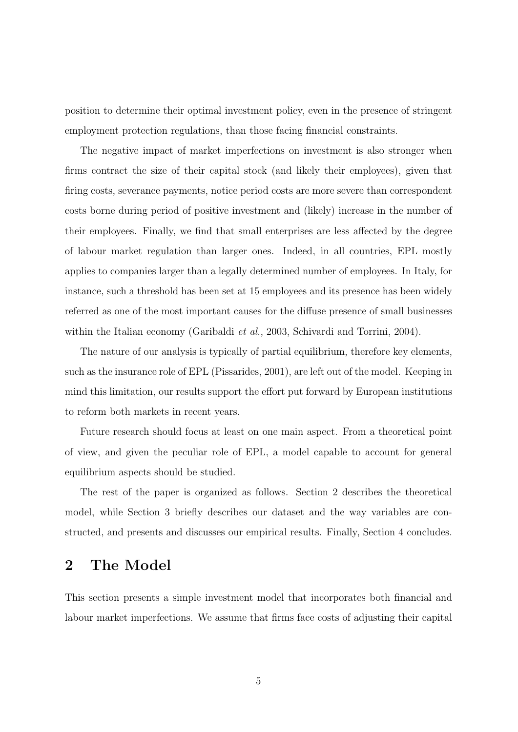position to determine their optimal investment policy, even in the presence of stringent employment protection regulations, than those facing financial constraints.

The negative impact of market imperfections on investment is also stronger when firms contract the size of their capital stock (and likely their employees), given that firing costs, severance payments, notice period costs are more severe than correspondent costs borne during period of positive investment and (likely) increase in the number of their employees. Finally, we find that small enterprises are less affected by the degree of labour market regulation than larger ones. Indeed, in all countries, EPL mostly applies to companies larger than a legally determined number of employees. In Italy, for instance, such a threshold has been set at 15 employees and its presence has been widely referred as one of the most important causes for the diffuse presence of small businesses within the Italian economy (Garibaldi *et al.*, 2003, Schivardi and Torrini, 2004).

The nature of our analysis is typically of partial equilibrium, therefore key elements, such as the insurance role of EPL (Pissarides, 2001), are left out of the model. Keeping in mind this limitation, our results support the effort put forward by European institutions to reform both markets in recent years.

Future research should focus at least on one main aspect. From a theoretical point of view, and given the peculiar role of EPL, a model capable to account for general equilibrium aspects should be studied.

The rest of the paper is organized as follows. Section 2 describes the theoretical model, while Section 3 briefly describes our dataset and the way variables are constructed, and presents and discusses our empirical results. Finally, Section 4 concludes.

### 2 The Model

This section presents a simple investment model that incorporates both financial and labour market imperfections. We assume that firms face costs of adjusting their capital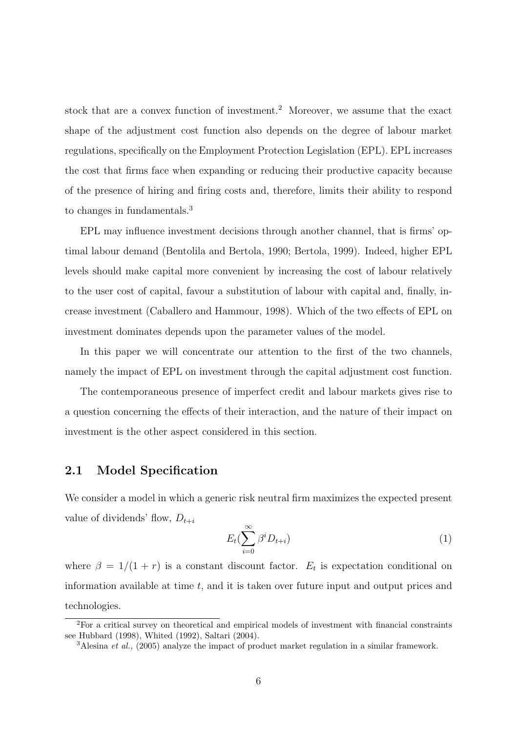stock that are a convex function of investment.<sup>2</sup> Moreover, we assume that the exact shape of the adjustment cost function also depends on the degree of labour market regulations, specifically on the Employment Protection Legislation (EPL). EPL increases the cost that firms face when expanding or reducing their productive capacity because of the presence of hiring and firing costs and, therefore, limits their ability to respond to changes in fundamentals.<sup>3</sup>

EPL may influence investment decisions through another channel, that is firms' optimal labour demand (Bentolila and Bertola, 1990; Bertola, 1999). Indeed, higher EPL levels should make capital more convenient by increasing the cost of labour relatively to the user cost of capital, favour a substitution of labour with capital and, finally, increase investment (Caballero and Hammour, 1998). Which of the two effects of EPL on investment dominates depends upon the parameter values of the model.

In this paper we will concentrate our attention to the first of the two channels, namely the impact of EPL on investment through the capital adjustment cost function.

The contemporaneous presence of imperfect credit and labour markets gives rise to a question concerning the effects of their interaction, and the nature of their impact on investment is the other aspect considered in this section.

#### 2.1 Model Specification

We consider a model in which a generic risk neutral firm maximizes the expected present value of dividends' flow,  $D_{t+i}$ 

$$
E_t(\sum_{i=0}^{\infty} \beta^i D_{t+i})
$$
\n(1)

where  $\beta = 1/(1 + r)$  is a constant discount factor.  $E_t$  is expectation conditional on information available at time  $t$ , and it is taken over future input and output prices and technologies.

<sup>2</sup>For a critical survey on theoretical and empirical models of investment with financial constraints see Hubbard (1998), Whited (1992), Saltari (2004).

<sup>&</sup>lt;sup>3</sup>Alesina *et al.*, (2005) analyze the impact of product market regulation in a similar framework.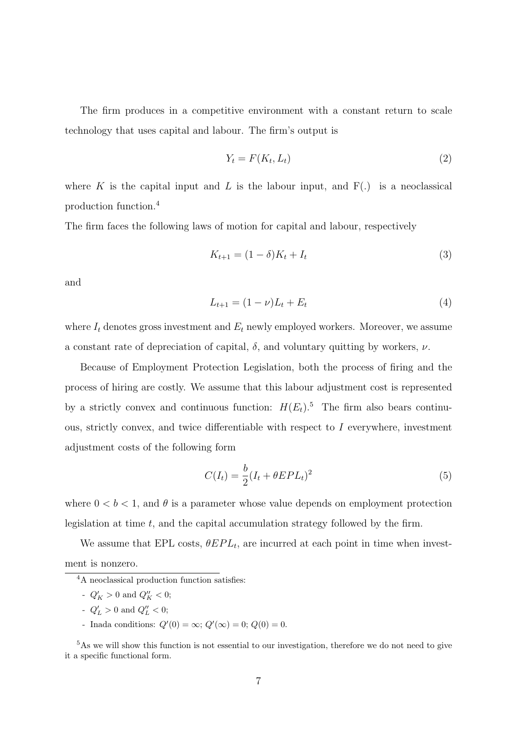The firm produces in a competitive environment with a constant return to scale technology that uses capital and labour. The firm's output is

$$
Y_t = F(K_t, L_t) \tag{2}
$$

where K is the capital input and L is the labour input, and  $F(.)$  is a neoclassical production function.<sup>4</sup>

The firm faces the following laws of motion for capital and labour, respectively

$$
K_{t+1} = (1 - \delta)K_t + I_t
$$
\n(3)

and

$$
L_{t+1} = (1 - \nu)L_t + E_t \tag{4}
$$

where  $I_t$  denotes gross investment and  $E_t$  newly employed workers. Moreover, we assume a constant rate of depreciation of capital,  $\delta$ , and voluntary quitting by workers,  $\nu$ .

Because of Employment Protection Legislation, both the process of firing and the process of hiring are costly. We assume that this labour adjustment cost is represented by a strictly convex and continuous function:  $H(E_t)$ .<sup>5</sup> The firm also bears continuous, strictly convex, and twice differentiable with respect to I everywhere, investment adjustment costs of the following form

$$
C(I_t) = \frac{b}{2}(I_t + \theta EPL_t)^2
$$
\n(5)

where  $0 < b < 1$ , and  $\theta$  is a parameter whose value depends on employment protection legislation at time  $t$ , and the capital accumulation strategy followed by the firm.

We assume that EPL costs,  $\theta EPL_t$ , are incurred at each point in time when investment is nonzero.

- $Q'_K > 0$  and  $Q''_K < 0$ ;
- $Q'_L > 0$  and  $Q''_L < 0$ ;
- Inada conditions:  $Q'(0) = \infty$ ;  $Q'(\infty) = 0$ ;  $Q(0) = 0$ .

<sup>5</sup>As we will show this function is not essential to our investigation, therefore we do not need to give it a specific functional form.

<sup>4</sup>A neoclassical production function satisfies: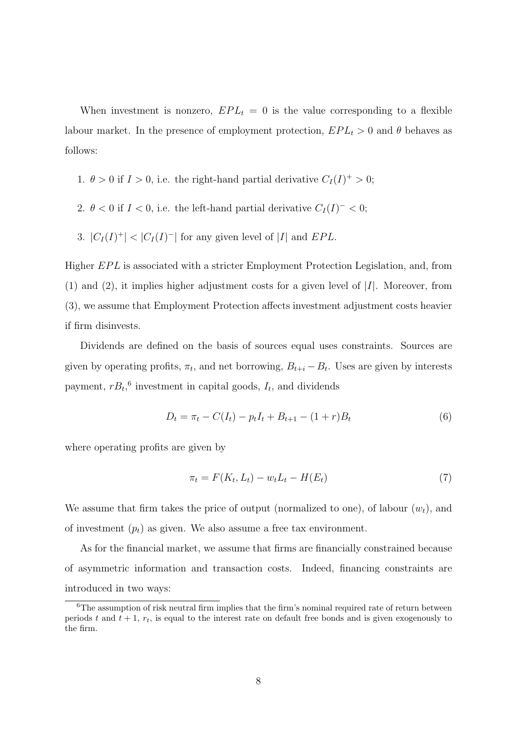When investment is nonzero,  $EPL_t = 0$  is the value corresponding to a flexible labour market. In the presence of employment protection,  $EPL_t > 0$  and  $\theta$  behaves as follows:

- 1.  $\theta > 0$  if  $I > 0$ , i.e. the right-hand partial derivative  $C_I(I)^+ > 0$ ;
- 2.  $\theta < 0$  if  $I < 0$ , i.e. the left-hand partial derivative  $C_I(I)^{-} < 0$ ;
- 3.  $|C_I(I)^+|$  <  $|C_I(I)^-|$  for any given level of |I| and EPL.

Higher EPL is associated with a stricter Employment Protection Legislation, and, from  $(1)$  and  $(2)$ , it implies higher adjustment costs for a given level of  $|I|$ . Moreover, from (3), we assume that Employment Protection affects investment adjustment costs heavier if firm disinvests.

Dividends are defined on the basis of sources equal uses constraints. Sources are given by operating profits,  $\pi_t$ , and net borrowing,  $B_{t+i} - B_t$ . Uses are given by interests payment,  $rB_t$ <sup>6</sup> investment in capital goods,  $I_t$ , and dividends

$$
D_t = \pi_t - C(I_t) - p_t I_t + B_{t+1} - (1+r)B_t \tag{6}
$$

where operating profits are given by

$$
\pi_t = F(K_t, L_t) - w_t L_t - H(E_t)
$$
\n(7)

We assume that firm takes the price of output (normalized to one), of labour  $(w_t)$ , and of investment  $(p_t)$  as given. We also assume a free tax environment.

As for the financial market, we assume that firms are financially constrained because of asymmetric information and transaction costs. Indeed, financing constraints are introduced in two ways:

<sup>&</sup>lt;sup>6</sup>The assumption of risk neutral firm implies that the firm's nominal required rate of return between periods t and  $t + 1$ ,  $r_t$ , is equal to the interest rate on default free bonds and is given exogenously to the firm.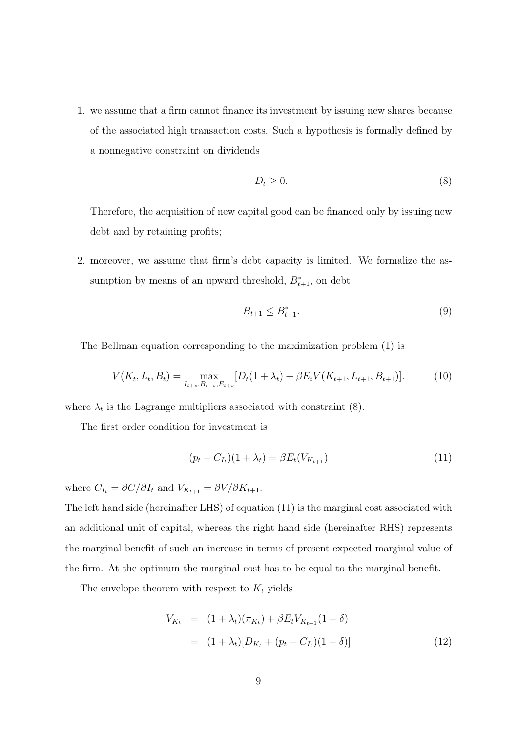1. we assume that a firm cannot finance its investment by issuing new shares because of the associated high transaction costs. Such a hypothesis is formally defined by a nonnegative constraint on dividends

$$
D_t \ge 0. \tag{8}
$$

Therefore, the acquisition of new capital good can be financed only by issuing new debt and by retaining profits;

2. moreover, we assume that firm's debt capacity is limited. We formalize the assumption by means of an upward threshold,  $B_{t+1}^*$ , on debt

$$
B_{t+1} \le B_{t+1}^*.\tag{9}
$$

The Bellman equation corresponding to the maximization problem (1) is

$$
V(K_t, L_t, B_t) = \max_{I_{t+s}, B_{t+s}, E_{t+s}} [D_t(1 + \lambda_t) + \beta E_t V(K_{t+1}, L_{t+1}, B_{t+1})].
$$
 (10)

where  $\lambda_t$  is the Lagrange multipliers associated with constraint (8).

The first order condition for investment is

$$
(p_t + C_{I_t})(1 + \lambda_t) = \beta E_t(V_{K_{t+1}})
$$
\n(11)

where  $C_{I_t} = \partial C/\partial I_t$  and  $V_{K_{t+1}} = \partial V/\partial K_{t+1}.$ 

The left hand side (hereinafter LHS) of equation (11) is the marginal cost associated with an additional unit of capital, whereas the right hand side (hereinafter RHS) represents the marginal benefit of such an increase in terms of present expected marginal value of the firm. At the optimum the marginal cost has to be equal to the marginal benefit.

The envelope theorem with respect to  $K_t$  yields

$$
V_{K_t} = (1 + \lambda_t)(\pi_{K_t}) + \beta E_t V_{K_{t+1}} (1 - \delta)
$$
  
=  $(1 + \lambda_t)[D_{K_t} + (p_t + C_{I_t})(1 - \delta)]$  (12)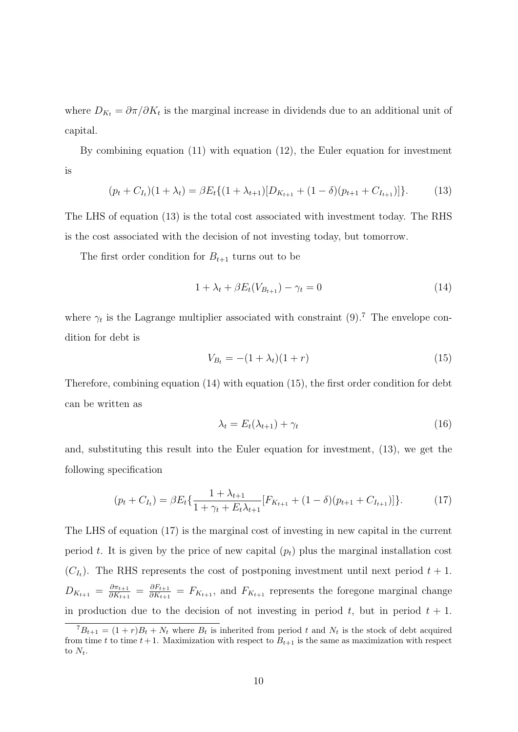where  $D_{K_t} = \partial \pi / \partial K_t$  is the marginal increase in dividends due to an additional unit of capital.

By combining equation (11) with equation (12), the Euler equation for investment is

$$
(p_t + C_{I_t})(1 + \lambda_t) = \beta E_t \{ (1 + \lambda_{t+1}) [D_{K_{t+1}} + (1 - \delta)(p_{t+1} + C_{I_{t+1}})] \}.
$$
 (13)

The LHS of equation (13) is the total cost associated with investment today. The RHS is the cost associated with the decision of not investing today, but tomorrow.

The first order condition for  $B_{t+1}$  turns out to be

$$
1 + \lambda_t + \beta E_t(V_{B_{t+1}}) - \gamma_t = 0 \tag{14}
$$

where  $\gamma_t$  is the Lagrange multiplier associated with constraint (9).<sup>7</sup> The envelope condition for debt is

$$
V_{B_t} = -(1 + \lambda_t)(1 + r) \tag{15}
$$

Therefore, combining equation (14) with equation (15), the first order condition for debt can be written as

$$
\lambda_t = E_t(\lambda_{t+1}) + \gamma_t \tag{16}
$$

and, substituting this result into the Euler equation for investment, (13), we get the following specification

$$
(p_t + C_{I_t}) = \beta E_t \{ \frac{1 + \lambda_{t+1}}{1 + \gamma_t + E_t \lambda_{t+1}} [F_{K_{t+1}} + (1 - \delta)(p_{t+1} + C_{I_{t+1}})] \}.
$$
 (17)

The LHS of equation (17) is the marginal cost of investing in new capital in the current period t. It is given by the price of new capital  $(p_t)$  plus the marginal installation cost  $(C_{I_t})$ . The RHS represents the cost of postponing investment until next period  $t + 1$ .  $D_{K_{t+1}} = \frac{\partial \pi_{t+1}}{\partial K_{t+1}}$  $\frac{\partial \pi_{t+1}}{\partial K_{t+1}} = \frac{\partial F_{t+1}}{\partial K_{t+1}}$  $\frac{\partial F_{t+1}}{\partial K_{t+1}} = F_{K_{t+1}}$ , and  $F_{K_{t+1}}$  represents the foregone marginal change in production due to the decision of not investing in period  $t$ , but in period  $t + 1$ .

 ${}^{7}B_{t+1} = (1+r)B_t + N_t$  where  $B_t$  is inherited from period t and  $N_t$  is the stock of debt acquired from time t to time  $t+1$ . Maximization with respect to  $B_{t+1}$  is the same as maximization with respect to  $N_t$ .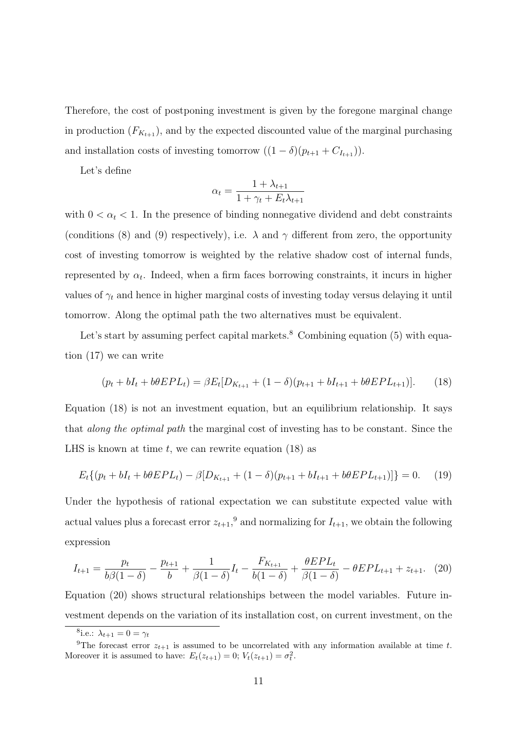Therefore, the cost of postponing investment is given by the foregone marginal change in production  $(F_{K_{t+1}})$ , and by the expected discounted value of the marginal purchasing and installation costs of investing tomorrow  $((1 - \delta)(p_{t+1} + C_{I_{t+1}})).$ 

Let's define

$$
\alpha_t = \frac{1 + \lambda_{t+1}}{1 + \gamma_t + E_t \lambda_{t+1}}
$$

with  $0 < \alpha_t < 1$ . In the presence of binding nonnegative dividend and debt constraints (conditions (8) and (9) respectively), i.e.  $\lambda$  and  $\gamma$  different from zero, the opportunity cost of investing tomorrow is weighted by the relative shadow cost of internal funds, represented by  $\alpha_t$ . Indeed, when a firm faces borrowing constraints, it incurs in higher values of  $\gamma_t$  and hence in higher marginal costs of investing today versus delaying it until tomorrow. Along the optimal path the two alternatives must be equivalent.

Let's start by assuming perfect capital markets. $8$  Combining equation (5) with equation (17) we can write

$$
(p_t + bI_t + b\theta EPL_t) = \beta E_t[D_{K_{t+1}} + (1 - \delta)(p_{t+1} + bI_{t+1} + b\theta EPL_{t+1})].
$$
 (18)

Equation (18) is not an investment equation, but an equilibrium relationship. It says that along the optimal path the marginal cost of investing has to be constant. Since the LHS is known at time  $t$ , we can rewrite equation (18) as

$$
E_t\{(p_t + bI_t + b\theta EPL_t) - \beta[D_{K_{t+1}} + (1 - \delta)(p_{t+1} + bI_{t+1} + b\theta EPL_{t+1})]\} = 0. \tag{19}
$$

Under the hypothesis of rational expectation we can substitute expected value with actual values plus a forecast error  $z_{t+1}$ ,<sup>9</sup> and normalizing for  $I_{t+1}$ , we obtain the following expression

$$
I_{t+1} = \frac{p_t}{b\beta(1-\delta)} - \frac{p_{t+1}}{b} + \frac{1}{\beta(1-\delta)}I_t - \frac{F_{K_{t+1}}}{b(1-\delta)} + \frac{\theta EPL_t}{\beta(1-\delta)} - \theta EPL_{t+1} + z_{t+1}.
$$
 (20)

Equation (20) shows structural relationships between the model variables. Future investment depends on the variation of its installation cost, on current investment, on the

<sup>&</sup>lt;sup>8</sup>i.e.:  $\lambda_{t+1} = 0 = \gamma_t$ 

<sup>&</sup>lt;sup>9</sup>The forecast error  $z_{t+1}$  is assumed to be uncorrelated with any information available at time t. Moreover it is assumed to have:  $E_t(z_{t+1}) = 0$ ;  $V_t(z_{t+1}) = \sigma_t^2$ .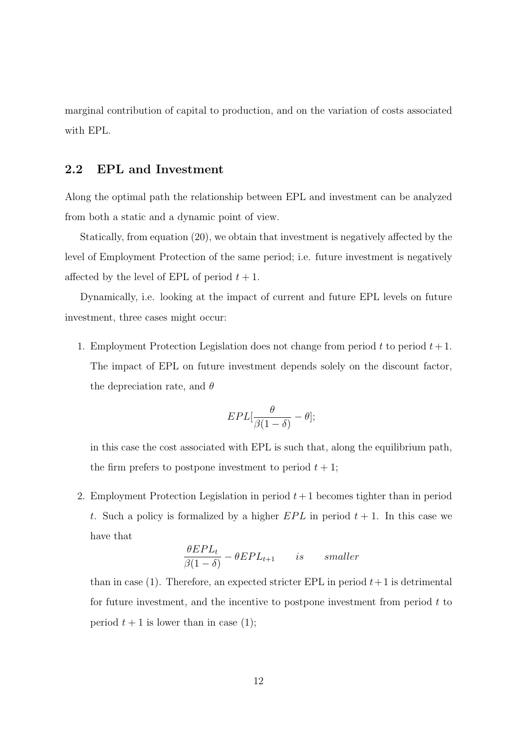marginal contribution of capital to production, and on the variation of costs associated with EPL.

### 2.2 EPL and Investment

Along the optimal path the relationship between EPL and investment can be analyzed from both a static and a dynamic point of view.

Statically, from equation (20), we obtain that investment is negatively affected by the level of Employment Protection of the same period; i.e. future investment is negatively affected by the level of EPL of period  $t + 1$ .

Dynamically, i.e. looking at the impact of current and future EPL levels on future investment, three cases might occur:

1. Employment Protection Legislation does not change from period t to period  $t+1$ . The impact of EPL on future investment depends solely on the discount factor, the depreciation rate, and  $\theta$ 

$$
EPL[\frac{\theta}{\beta(1-\delta)} - \theta];
$$

in this case the cost associated with EPL is such that, along the equilibrium path, the firm prefers to postpone investment to period  $t + 1$ ;

2. Employment Protection Legislation in period  $t+1$  becomes tighter than in period t. Such a policy is formalized by a higher  $EPL$  in period  $t + 1$ . In this case we have that

$$
\frac{\theta EPL_t}{\beta(1-\delta)} - \theta EPL_{t+1} \qquad is \qquad smaller
$$

than in case (1). Therefore, an expected stricter EPL in period  $t+1$  is detrimental for future investment, and the incentive to postpone investment from period  $t$  to period  $t + 1$  is lower than in case (1);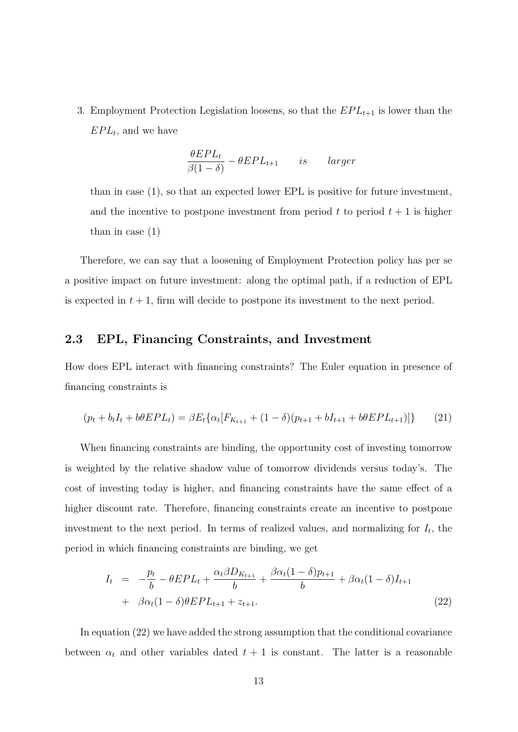3. Employment Protection Legislation loosens, so that the  $EPL_{t+1}$  is lower than the  $EPL_t$ , and we have

$$
\frac{\theta EPL_t}{\beta(1-\delta)} - \theta EPL_{t+1} \qquad is \qquad larger
$$

than in case (1), so that an expected lower EPL is positive for future investment, and the incentive to postpone investment from period  $t$  to period  $t + 1$  is higher than in case (1)

Therefore, we can say that a loosening of Employment Protection policy has per se a positive impact on future investment: along the optimal path, if a reduction of EPL is expected in  $t + 1$ , firm will decide to postpone its investment to the next period.

#### 2.3 EPL, Financing Constraints, and Investment

How does EPL interact with financing constraints? The Euler equation in presence of financing constraints is

$$
(p_t + b_t I_t + b\theta EPL_t) = \beta E_t \{ \alpha_t [F_{K_{t+1}} + (1 - \delta)(p_{t+1} + bI_{t+1} + b\theta EPL_{t+1})] \} \tag{21}
$$

When financing constraints are binding, the opportunity cost of investing tomorrow is weighted by the relative shadow value of tomorrow dividends versus today's. The cost of investing today is higher, and financing constraints have the same effect of a higher discount rate. Therefore, financing constraints create an incentive to postpone investment to the next period. In terms of realized values, and normalizing for  $I_t$ , the period in which financing constraints are binding, we get

$$
I_{t} = -\frac{p_{t}}{b} - \theta EPL_{t} + \frac{\alpha_{t}\beta D_{K_{t+1}}}{b} + \frac{\beta\alpha_{t}(1-\delta)p_{t+1}}{b} + \beta\alpha_{t}(1-\delta)I_{t+1} + \beta\alpha_{t}(1-\delta)\theta EPL_{t+1} + z_{t+1}.
$$
\n(22)

In equation (22) we have added the strong assumption that the conditional covariance between  $\alpha_t$  and other variables dated  $t + 1$  is constant. The latter is a reasonable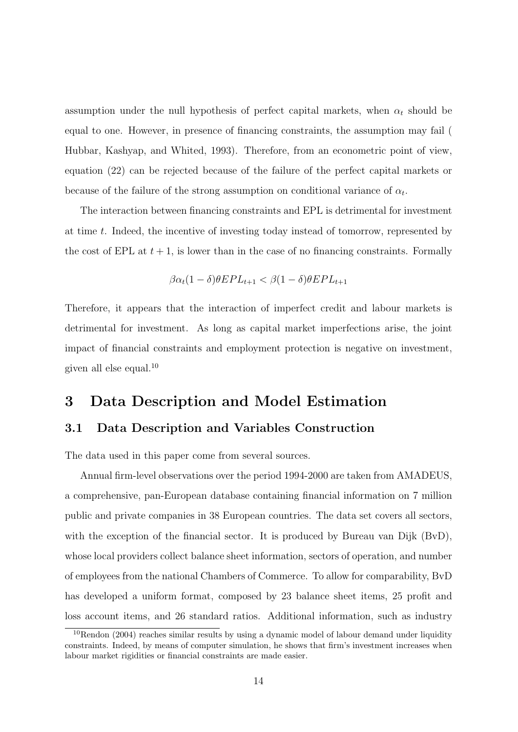assumption under the null hypothesis of perfect capital markets, when  $\alpha_t$  should be equal to one. However, in presence of financing constraints, the assumption may fail ( Hubbar, Kashyap, and Whited, 1993). Therefore, from an econometric point of view, equation (22) can be rejected because of the failure of the perfect capital markets or because of the failure of the strong assumption on conditional variance of  $\alpha_t$ .

The interaction between financing constraints and EPL is detrimental for investment at time t. Indeed, the incentive of investing today instead of tomorrow, represented by the cost of EPL at  $t + 1$ , is lower than in the case of no financing constraints. Formally

$$
\beta \alpha_t (1 - \delta) \theta EPL_{t+1} < \beta (1 - \delta) \theta EPL_{t+1}
$$

Therefore, it appears that the interaction of imperfect credit and labour markets is detrimental for investment. As long as capital market imperfections arise, the joint impact of financial constraints and employment protection is negative on investment, given all else equal.<sup>10</sup>

### 3 Data Description and Model Estimation

#### 3.1 Data Description and Variables Construction

The data used in this paper come from several sources.

Annual firm-level observations over the period 1994-2000 are taken from AMADEUS, a comprehensive, pan-European database containing financial information on 7 million public and private companies in 38 European countries. The data set covers all sectors, with the exception of the financial sector. It is produced by Bureau van Dijk (BvD), whose local providers collect balance sheet information, sectors of operation, and number of employees from the national Chambers of Commerce. To allow for comparability, BvD has developed a uniform format, composed by 23 balance sheet items, 25 profit and loss account items, and 26 standard ratios. Additional information, such as industry

 $10$ Rendon (2004) reaches similar results by using a dynamic model of labour demand under liquidity constraints. Indeed, by means of computer simulation, he shows that firm's investment increases when labour market rigidities or financial constraints are made easier.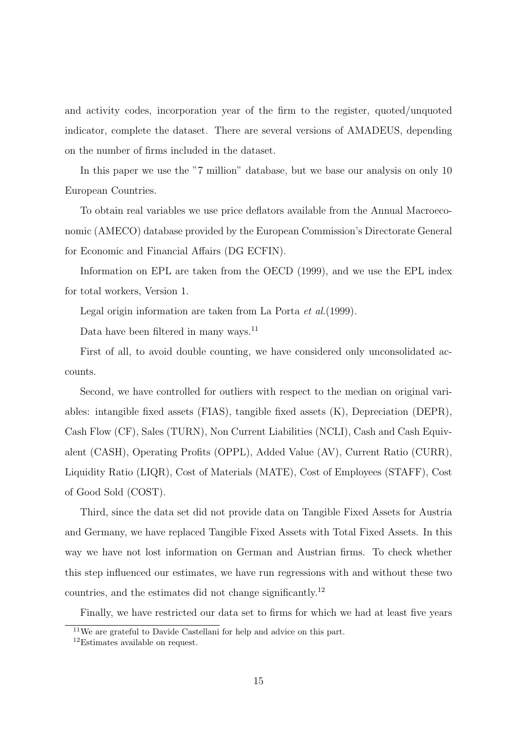and activity codes, incorporation year of the firm to the register, quoted/unquoted indicator, complete the dataset. There are several versions of AMADEUS, depending on the number of firms included in the dataset.

In this paper we use the "7 million" database, but we base our analysis on only 10 European Countries.

To obtain real variables we use price deflators available from the Annual Macroeconomic (AMECO) database provided by the European Commission's Directorate General for Economic and Financial Affairs (DG ECFIN).

Information on EPL are taken from the OECD (1999), and we use the EPL index for total workers, Version 1.

Legal origin information are taken from La Porta et al.(1999).

Data have been filtered in many ways.<sup>11</sup>

First of all, to avoid double counting, we have considered only unconsolidated accounts.

Second, we have controlled for outliers with respect to the median on original variables: intangible fixed assets (FIAS), tangible fixed assets (K), Depreciation (DEPR), Cash Flow (CF), Sales (TURN), Non Current Liabilities (NCLI), Cash and Cash Equivalent (CASH), Operating Profits (OPPL), Added Value (AV), Current Ratio (CURR), Liquidity Ratio (LIQR), Cost of Materials (MATE), Cost of Employees (STAFF), Cost of Good Sold (COST).

Third, since the data set did not provide data on Tangible Fixed Assets for Austria and Germany, we have replaced Tangible Fixed Assets with Total Fixed Assets. In this way we have not lost information on German and Austrian firms. To check whether this step influenced our estimates, we have run regressions with and without these two countries, and the estimates did not change significantly.<sup>12</sup>

Finally, we have restricted our data set to firms for which we had at least five years

<sup>11</sup>We are grateful to Davide Castellani for help and advice on this part.

<sup>&</sup>lt;sup>12</sup>Estimates available on request.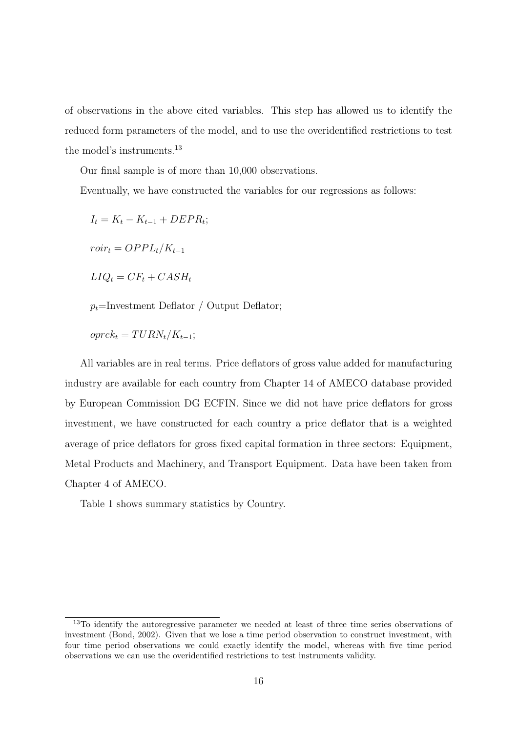of observations in the above cited variables. This step has allowed us to identify the reduced form parameters of the model, and to use the overidentified restrictions to test the model's instruments.<sup>13</sup>

Our final sample is of more than 10,000 observations.

Eventually, we have constructed the variables for our regressions as follows:

$$
I_t = K_t - K_{t-1} + DEPR_t;
$$

 $roir_t = OPPL_t/K_{t-1}$ 

 $LIQ_t = CF_t + CASH_t$ 

 $p_t$ =Investment Deflator / Output Deflator;

 $oprek_t = T U R N_t / K_{t-1};$ 

All variables are in real terms. Price deflators of gross value added for manufacturing industry are available for each country from Chapter 14 of AMECO database provided by European Commission DG ECFIN. Since we did not have price deflators for gross investment, we have constructed for each country a price deflator that is a weighted average of price deflators for gross fixed capital formation in three sectors: Equipment, Metal Products and Machinery, and Transport Equipment. Data have been taken from Chapter 4 of AMECO.

Table 1 shows summary statistics by Country.

 $13$ To identify the autoregressive parameter we needed at least of three time series observations of investment (Bond, 2002). Given that we lose a time period observation to construct investment, with four time period observations we could exactly identify the model, whereas with five time period observations we can use the overidentified restrictions to test instruments validity.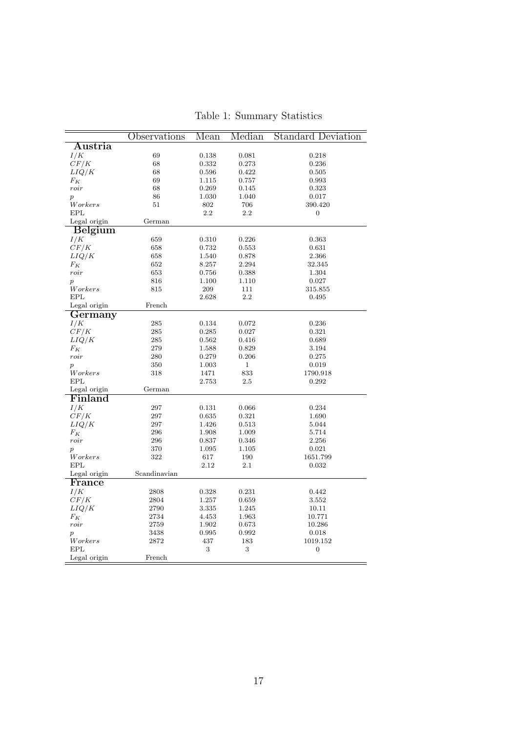|                      | Observations | Mean  | Median       | <b>Standard Deviation</b> |
|----------------------|--------------|-------|--------------|---------------------------|
| Austria              |              |       |              |                           |
| I/K                  | 69           | 0.138 | 0.081        | 0.218                     |
| CF/K                 | 68           | 0.332 | 0.273        | 0.236                     |
| LIQ/K                | 68           | 0.596 | 0.422        | 0.505                     |
| $F_K$                | 69           | 1.115 | 0.757        | 0.993                     |
| roir                 | 68           | 0.269 | 0.145        | 0.323                     |
| $\overline{p}$       | 86           | 1.030 | 1.040        | 0.017                     |
| Workers              | 51           | 802   | 706          | 390.420                   |
| EPL                  |              | 2.2   | 2.2          | $\boldsymbol{0}$          |
| Legal origin         | German       |       |              |                           |
| <b>Belgium</b>       |              |       |              |                           |
| I/K                  | 659          | 0.310 | 0.226        | 0.363                     |
| CF/K                 | 658          | 0.732 | 0.553        | 0.631                     |
| LIQ/K                | 658          | 1.540 | 0.878        | 2.366                     |
| $F_K$                | 652          | 8.257 | 2.294        | 32.345                    |
| roir                 | 653          | 0.756 | 0.388        | 1.304                     |
| $\boldsymbol{p}$     | 816          | 1.100 | 1.110        | 0.027                     |
| Workers              | 815          | 209   | 111          | 315.855                   |
| <b>EPL</b>           |              | 2.628 | 2.2          | 0.495                     |
| Legal origin         | French       |       |              |                           |
| Germany              |              |       |              |                           |
| I/K                  | 285          | 0.134 | 0.072        | 0.236                     |
| CF/K                 | 285          | 0.285 | 0.027        | 0.321                     |
| LIQ/K                | 285          | 0.562 | 0.416        | 0.689                     |
| $F_K$                | 279          | 1.588 | 0.829        | 3.194                     |
| roir                 | 280          | 0.279 | 0.206        | 0.275                     |
| $\boldsymbol{p}$     | 350          | 1.003 | $\mathbf{1}$ | 0.019                     |
| W or kers            | 318          | 1471  | 833          | 1790.918                  |
| $\operatorname{EPL}$ |              | 2.753 | $2.5\,$      | 0.292                     |
| Legal origin         | German       |       |              |                           |
| Finland              |              |       |              |                           |
| I/K                  | 297          | 0.131 | 0.066        | 0.234                     |
| CF/K                 | 297          | 0.635 | 0.321        | 1.690                     |
| LIQ/K                | 297          | 1.426 | 0.513        | 5.044                     |
| $F_K$                | 296          | 1.908 | 1.009        | 5.714                     |
| roir                 | 296          | 0.837 | 0.346        | 2.256                     |
| $\boldsymbol{p}$     | 370          | 1.095 | 1.105        | 0.021                     |
| Workers              | 322          | 617   | 190          | 1651.799                  |
| <b>EPL</b>           |              | 2.12  | 2.1          | 0.032                     |
| Legal origin         | Scandinavian |       |              |                           |
| France               |              |       |              |                           |
| I/K                  | 2808         | 0.328 | 0.231        | 0.442                     |
| CF/K                 | 2804         | 1.257 | 0.659        | 3.552                     |
| LIQ/K                | 2790         | 3.335 | 1.245        | 10.11                     |
| $F_K$                | 2734         | 4.453 | 1.963        | 10.771                    |
| roir                 | 2759         | 1.902 | 0.673        | 10.286                    |
| $\boldsymbol{p}$     | 3438         | 0.995 | 0.992        | 0.018                     |
| Workers              | 2872         | 437   | 183          | 1019.152                  |
|                      |              | 3     | 3            | $\boldsymbol{0}$          |
| EPL                  |              |       |              |                           |

Table 1: Summary Statistics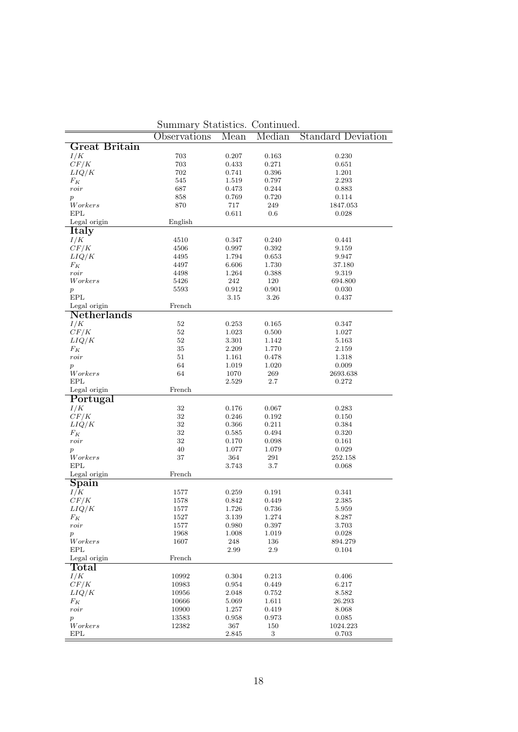|                            | Observations | Mean           | Median         | <b>Standard Deviation</b> |
|----------------------------|--------------|----------------|----------------|---------------------------|
| Great Britain              |              |                |                |                           |
| I/K                        | 703          | 0.207          | 0.163          | 0.230                     |
| CF/K                       | 703          | 0.433          | 0.271          | 0.651                     |
| LIQ/K                      | 702          | 0.741          | 0.396          | 1.201                     |
| $F_K$                      | 545          | 1.519          | 0.797          | 2.293                     |
| roir                       | 687          | 0.473          | 0.244          | 0.883                     |
| $\overline{p}$             | 858          | 0.769          | 0.720          | 0.114                     |
| Workers                    | 870          | 717            | 249            | 1847.053                  |
| EPL                        |              | 0.611          | 0.6            | 0.028                     |
| Legal origin               | English      |                |                |                           |
| Italy                      |              |                |                |                           |
| I/K                        | 4510         | 0.347          | 0.240          | 0.441                     |
| CF/K                       | 4506         | 0.997          | 0.392          | 9.159                     |
| $LIQ/K$                    | 4495         | 1.794          | 0.653          | 9.947                     |
| $F_K$                      | 4497         | 6.606          | 1.730          | 37.180                    |
| roir                       | 4498         | 1.264          | 0.388          | 9.319                     |
| Workers                    | 5426         | 242            | 120            | 694.800                   |
| $\boldsymbol{p}$<br>EPL    | 5593         | 0.912<br>3.15  | 0.901<br>3.26  | 0.030<br>0.437            |
| Legal origin               | French       |                |                |                           |
| <b>Netherlands</b>         |              |                |                |                           |
| I/K                        | 52           | 0.253          | 0.165          | 0.347                     |
| CF/K                       | 52           | 1.023          | 0.500          | 1.027                     |
| LIQ/K                      | 52           | 3.301          | 1.142          | 5.163                     |
| $F_K$                      | $35\,$       | 2.209          | 1.770          | 2.159                     |
| roir                       | $51\,$       | 1.161          | 0.478          | 1.318                     |
| $\overline{p}$             | 64           | 1.019          | 1.020          | 0.009                     |
| Workers                    | 64           | 1070           | 269            | 2693.638                  |
| EPL                        |              | 2.529          | 2.7            | 0.272                     |
| Legal origin               | French       |                |                |                           |
| Portugal                   |              |                |                |                           |
| I/K                        | 32           | 0.176          | 0.067          | 0.283                     |
| CF/K                       | $32\,$       | 0.246          | 0.192          | 0.150                     |
| LIQ/K                      | $32\,$       | 0.366          | 0.211          | 0.384                     |
| $F_K$                      | $32\,$       | 0.585          | 0.494          | 0.320                     |
| roir                       | 32           | 0.170          | 0.098          | 0.161                     |
| $\overline{p}$             | 40           | 1.077          | 1.079          | 0.029                     |
| Workers                    | 37           | 364            | 291            | 252.158                   |
| <b>EPL</b><br>Legal origin | French       | 3.743          | 3.7            | 0.068                     |
|                            |              |                |                |                           |
| $S$ pain                   |              |                |                |                           |
| I/K<br>CF/K                | 1577<br>1578 | 0.259<br>0.842 | 0.191<br>0.449 | 0.341<br>2.385            |
| LIQ/K                      | 1577         | 1.726          | 0.736          | 5.959                     |
| $F_K$                      | 1527         | $3.139\,$      | 1.274          | 8.287                     |
| $\operatorname{roir}$      | 1577         | 0.980          | 0.397          | 3.703                     |
| $\boldsymbol{p}$           | 1968         | 1.008          | 1.019          | 0.028                     |
| Workers                    | 1607         | 248            | 136            | 894.279                   |
| <b>EPL</b>                 |              | 2.99           | $2.9\,$        | 0.104                     |
| Legal origin               | French       |                |                |                           |
| Total                      |              |                |                |                           |
| I/K                        | 10992        | 0.304          | 0.213          | 0.406                     |
| CF/K                       | 10983        | 0.954          | 0.449          | 6.217                     |
| LIQ/K                      | 10956        | 2.048          | 0.752          | 8.582                     |
| $F_K$                      | 10666        | 5.069          | 1.611          | 26.293                    |
| roir                       | 10900        | 1.257          | 0.419          | 8.068                     |
| $\boldsymbol{p}$           | 13583        | 0.958          | 0.973          | 0.085                     |
| Workers                    | 12382        | 367            | 150            | 1024.223                  |
| <b>EPL</b>                 |              | 2.845          | 3              | 0.703                     |

Summary Statistics. Continued.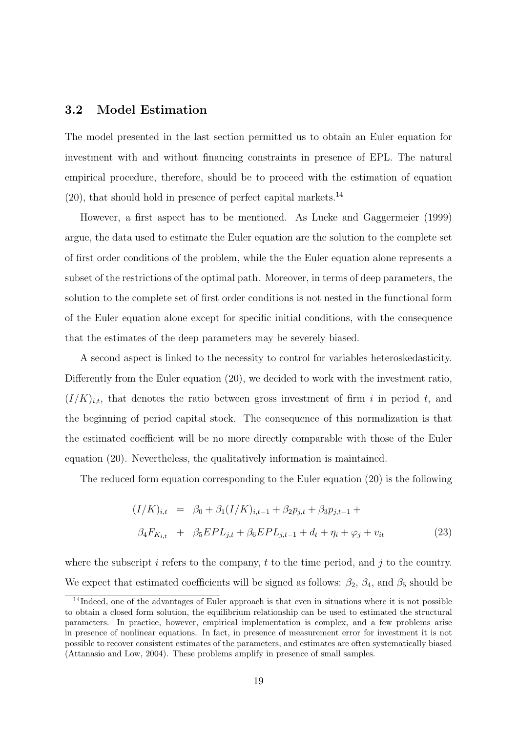### 3.2 Model Estimation

The model presented in the last section permitted us to obtain an Euler equation for investment with and without financing constraints in presence of EPL. The natural empirical procedure, therefore, should be to proceed with the estimation of equation  $(20)$ , that should hold in presence of perfect capital markets.<sup>14</sup>

However, a first aspect has to be mentioned. As Lucke and Gaggermeier (1999) argue, the data used to estimate the Euler equation are the solution to the complete set of first order conditions of the problem, while the the Euler equation alone represents a subset of the restrictions of the optimal path. Moreover, in terms of deep parameters, the solution to the complete set of first order conditions is not nested in the functional form of the Euler equation alone except for specific initial conditions, with the consequence that the estimates of the deep parameters may be severely biased.

A second aspect is linked to the necessity to control for variables heteroskedasticity. Differently from the Euler equation (20), we decided to work with the investment ratio,  $(I/K)_{i,t}$ , that denotes the ratio between gross investment of firm i in period t, and the beginning of period capital stock. The consequence of this normalization is that the estimated coefficient will be no more directly comparable with those of the Euler equation (20). Nevertheless, the qualitatively information is maintained.

The reduced form equation corresponding to the Euler equation (20) is the following

$$
(I/K)_{i,t} = \beta_0 + \beta_1 (I/K)_{i,t-1} + \beta_2 p_{j,t} + \beta_3 p_{j,t-1} +
$$
  

$$
\beta_4 F_{K_{i,t}} + \beta_5 EPL_{j,t} + \beta_6 EPL_{j,t-1} + d_t + \eta_i + \varphi_j + v_{it}
$$
 (23)

where the subscript i refers to the company, t to the time period, and j to the country. We expect that estimated coefficients will be signed as follows:  $\beta_2$ ,  $\beta_4$ , and  $\beta_5$  should be

<sup>&</sup>lt;sup>14</sup>Indeed, one of the advantages of Euler approach is that even in situations where it is not possible to obtain a closed form solution, the equilibrium relationship can be used to estimated the structural parameters. In practice, however, empirical implementation is complex, and a few problems arise in presence of nonlinear equations. In fact, in presence of measurement error for investment it is not possible to recover consistent estimates of the parameters, and estimates are often systematically biased (Attanasio and Low, 2004). These problems amplify in presence of small samples.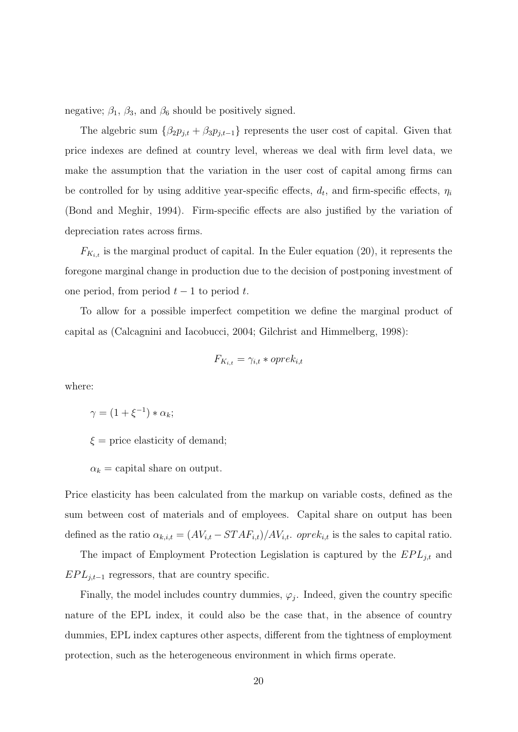negative;  $\beta_1$ ,  $\beta_3$ , and  $\beta_6$  should be positively signed.

The algebric sum  $\{\beta_2 p_{j,t} + \beta_3 p_{j,t-1}\}\)$  represents the user cost of capital. Given that price indexes are defined at country level, whereas we deal with firm level data, we make the assumption that the variation in the user cost of capital among firms can be controlled for by using additive year-specific effects,  $d_t$ , and firm-specific effects,  $\eta_i$ (Bond and Meghir, 1994). Firm-specific effects are also justified by the variation of depreciation rates across firms.

 $F_{K_{i,t}}$  is the marginal product of capital. In the Euler equation (20), it represents the foregone marginal change in production due to the decision of postponing investment of one period, from period  $t - 1$  to period t.

To allow for a possible imperfect competition we define the marginal product of capital as (Calcagnini and Iacobucci, 2004; Gilchrist and Himmelberg, 1998):

$$
F_{K_{i,t}} = \gamma_{i,t} * oprek_{i,t}
$$

where:

 $\gamma = (1 + \xi^{-1}) * \alpha_k;$ 

 $\xi$  = price elasticity of demand;

 $\alpha_k$  = capital share on output.

Price elasticity has been calculated from the markup on variable costs, defined as the sum between cost of materials and of employees. Capital share on output has been defined as the ratio  $\alpha_{k,i,t} = (AV_{i,t} - STAR_{i,t})/AV_{i,t}$ . opre $k_{i,t}$  is the sales to capital ratio.

The impact of Employment Protection Legislation is captured by the  $EPL_{j,t}$  and  $EPL_{i,t-1}$  regressors, that are country specific.

Finally, the model includes country dummies,  $\varphi_j$ . Indeed, given the country specific nature of the EPL index, it could also be the case that, in the absence of country dummies, EPL index captures other aspects, different from the tightness of employment protection, such as the heterogeneous environment in which firms operate.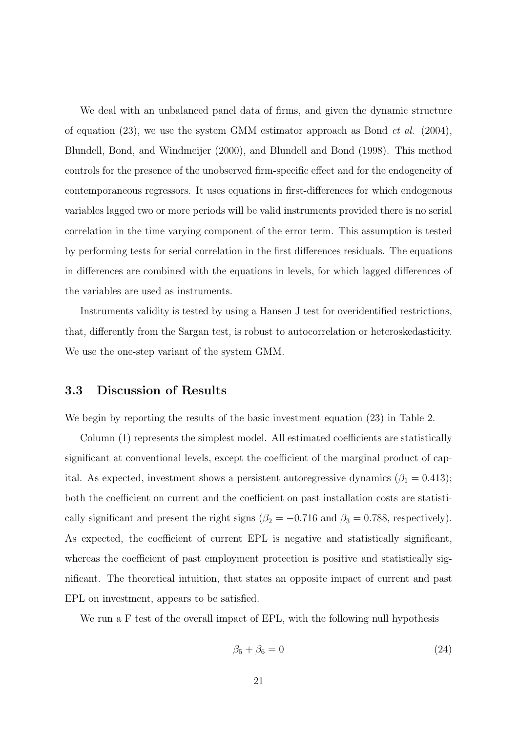We deal with an unbalanced panel data of firms, and given the dynamic structure of equation (23), we use the system GMM estimator approach as Bond *et al.* (2004), Blundell, Bond, and Windmeijer (2000), and Blundell and Bond (1998). This method controls for the presence of the unobserved firm-specific effect and for the endogeneity of contemporaneous regressors. It uses equations in first-differences for which endogenous variables lagged two or more periods will be valid instruments provided there is no serial correlation in the time varying component of the error term. This assumption is tested by performing tests for serial correlation in the first differences residuals. The equations in differences are combined with the equations in levels, for which lagged differences of the variables are used as instruments.

Instruments validity is tested by using a Hansen J test for overidentified restrictions, that, differently from the Sargan test, is robust to autocorrelation or heteroskedasticity. We use the one-step variant of the system GMM.

#### 3.3 Discussion of Results

We begin by reporting the results of the basic investment equation (23) in Table 2.

Column (1) represents the simplest model. All estimated coefficients are statistically significant at conventional levels, except the coefficient of the marginal product of capital. As expected, investment shows a persistent autoregressive dynamics  $(\beta_1 = 0.413)$ ; both the coefficient on current and the coefficient on past installation costs are statistically significant and present the right signs ( $\beta_2 = -0.716$  and  $\beta_3 = 0.788$ , respectively). As expected, the coefficient of current EPL is negative and statistically significant, whereas the coefficient of past employment protection is positive and statistically significant. The theoretical intuition, that states an opposite impact of current and past EPL on investment, appears to be satisfied.

We run a F test of the overall impact of EPL, with the following null hypothesis

$$
\beta_5 + \beta_6 = 0 \tag{24}
$$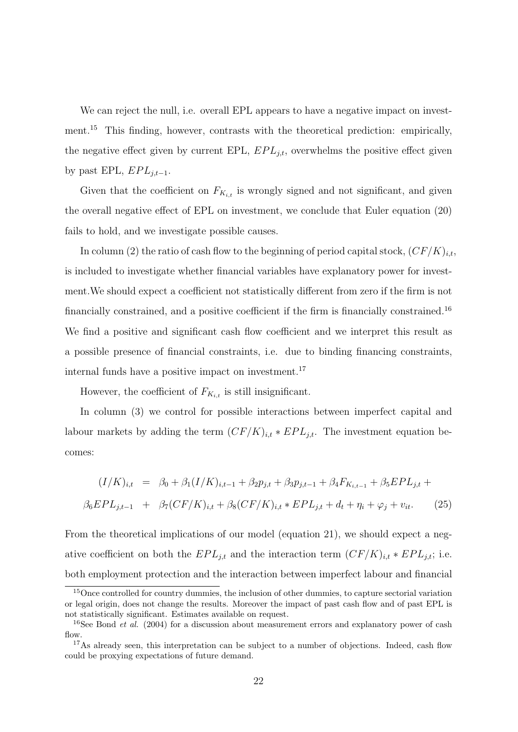We can reject the null, i.e. overall EPL appears to have a negative impact on investment.<sup>15</sup> This finding, however, contrasts with the theoretical prediction: empirically, the negative effect given by current EPL,  $EPL_{j,t}$ , overwhelms the positive effect given by past EPL,  $EPL_{j,t-1}$ .

Given that the coefficient on  $F_{K_{i,t}}$  is wrongly signed and not significant, and given the overall negative effect of EPL on investment, we conclude that Euler equation (20) fails to hold, and we investigate possible causes.

In column (2) the ratio of cash flow to the beginning of period capital stock,  $(CF/K)_{i,t}$ , is included to investigate whether financial variables have explanatory power for investment.We should expect a coefficient not statistically different from zero if the firm is not financially constrained, and a positive coefficient if the firm is financially constrained.<sup>16</sup> We find a positive and significant cash flow coefficient and we interpret this result as a possible presence of financial constraints, i.e. due to binding financing constraints, internal funds have a positive impact on investment.<sup>17</sup>

However, the coefficient of  $F_{K_{i,t}}$  is still insignificant.

In column (3) we control for possible interactions between imperfect capital and labour markets by adding the term  $(CF/K)_{i,t} * EPL_{j,t}$ . The investment equation becomes:

$$
(I/K)_{i,t} = \beta_0 + \beta_1 (I/K)_{i,t-1} + \beta_2 p_{j,t} + \beta_3 p_{j,t-1} + \beta_4 F_{K_{i,t-1}} + \beta_5 EPL_{j,t} +
$$
  

$$
\beta_6 EPL_{j,t-1} + \beta_7 (CF/K)_{i,t} + \beta_8 (CF/K)_{i,t} * EPL_{j,t} + d_t + \eta_i + \varphi_j + v_{it}. \tag{25}
$$

From the theoretical implications of our model (equation 21), we should expect a negative coefficient on both the  $EPL_{j,t}$  and the interaction term  $(CF/K)_{i,t} * EPL_{j,t}$ ; i.e. both employment protection and the interaction between imperfect labour and financial

<sup>&</sup>lt;sup>15</sup>Once controlled for country dummies, the inclusion of other dummies, to capture sectorial variation or legal origin, does not change the results. Moreover the impact of past cash flow and of past EPL is not statistically significant. Estimates available on request.

<sup>&</sup>lt;sup>16</sup>See Bond *et al.* (2004) for a discussion about measurement errors and explanatory power of cash  $f_{\text{low}}$ 

<sup>&</sup>lt;sup>17</sup>As already seen, this interpretation can be subject to a number of objections. Indeed, cash flow could be proxying expectations of future demand.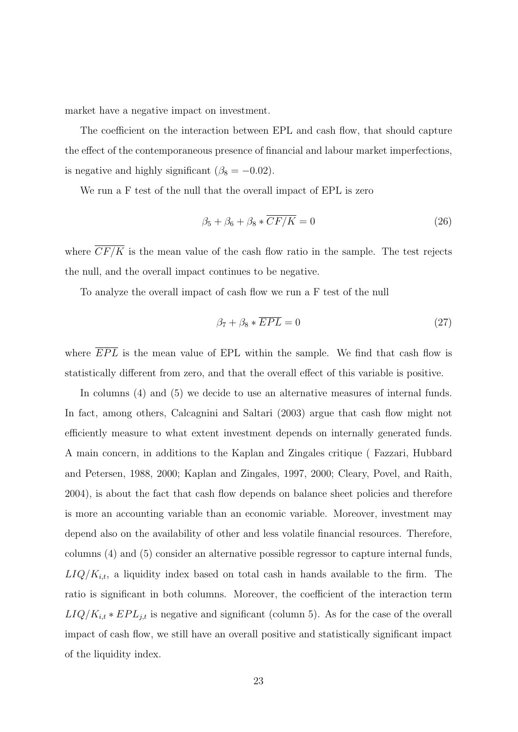market have a negative impact on investment.

The coefficient on the interaction between EPL and cash flow, that should capture the effect of the contemporaneous presence of financial and labour market imperfections, is negative and highly significant ( $\beta_8 = -0.02$ ).

We run a F test of the null that the overall impact of EPL is zero

$$
\beta_5 + \beta_6 + \beta_8 * \overline{CF/K} = 0 \tag{26}
$$

where  $\overline{CF/K}$  is the mean value of the cash flow ratio in the sample. The test rejects the null, and the overall impact continues to be negative.

To analyze the overall impact of cash flow we run a F test of the null

$$
\beta_7 + \beta_8 * \overline{EPL} = 0 \tag{27}
$$

where  $\overline{EPL}$  is the mean value of EPL within the sample. We find that cash flow is statistically different from zero, and that the overall effect of this variable is positive.

In columns (4) and (5) we decide to use an alternative measures of internal funds. In fact, among others, Calcagnini and Saltari (2003) argue that cash flow might not efficiently measure to what extent investment depends on internally generated funds. A main concern, in additions to the Kaplan and Zingales critique ( Fazzari, Hubbard and Petersen, 1988, 2000; Kaplan and Zingales, 1997, 2000; Cleary, Povel, and Raith, 2004), is about the fact that cash flow depends on balance sheet policies and therefore is more an accounting variable than an economic variable. Moreover, investment may depend also on the availability of other and less volatile financial resources. Therefore, columns (4) and (5) consider an alternative possible regressor to capture internal funds,  $LIQ/K_{i,t}$ , a liquidity index based on total cash in hands available to the firm. The ratio is significant in both columns. Moreover, the coefficient of the interaction term  $LIQ/K_{i,t}*EPL_{j,t}$  is negative and significant (column 5). As for the case of the overall impact of cash flow, we still have an overall positive and statistically significant impact of the liquidity index.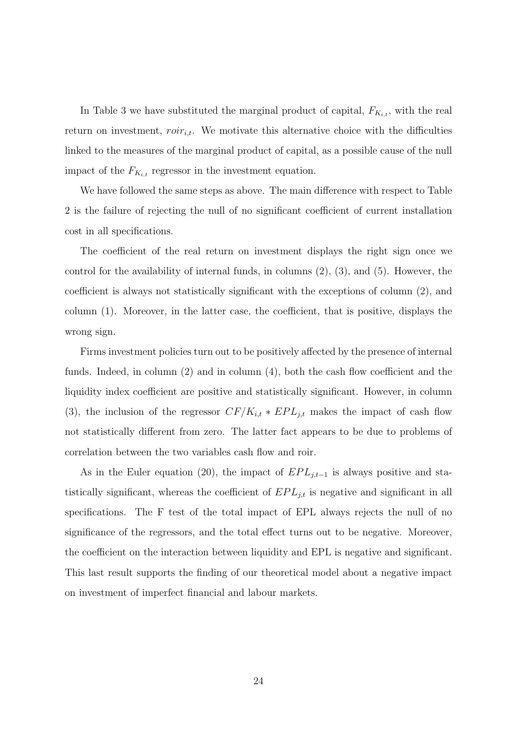In Table 3 we have substituted the marginal product of capital,  $F_{K_{i,t}}$ , with the real return on investment,  $\text{roir}_{i,t}$ . We motivate this alternative choice with the difficulties linked to the measures of the marginal product of capital, as a possible cause of the null impact of the  $F_{K_{i,t}}$  regressor in the investment equation.

We have followed the same steps as above. The main difference with respect to Table 2 is the failure of rejecting the null of no significant coefficient of current installation cost in all specifications.

The coefficient of the real return on investment displays the right sign once we control for the availability of internal funds, in columns (2), (3), and (5). However, the coefficient is always not statistically significant with the exceptions of column (2), and column (1). Moreover, in the latter case, the coefficient, that is positive, displays the wrong sign.

Firms investment policies turn out to be positively affected by the presence of internal funds. Indeed, in column  $(2)$  and in column  $(4)$ , both the cash flow coefficient and the liquidity index coefficient are positive and statistically significant. However, in column (3), the inclusion of the regressor  $CF/K_{i,t} * EPL_{j,t}$  makes the impact of cash flow not statistically different from zero. The latter fact appears to be due to problems of correlation between the two variables cash flow and roir.

As in the Euler equation (20), the impact of  $EPL_{j,t-1}$  is always positive and statistically significant, whereas the coefficient of  $EPL_{j,t}$  is negative and significant in all specifications. The F test of the total impact of EPL always rejects the null of no significance of the regressors, and the total effect turns out to be negative. Moreover, the coefficient on the interaction between liquidity and EPL is negative and significant. This last result supports the finding of our theoretical model about a negative impact on investment of imperfect financial and labour markets.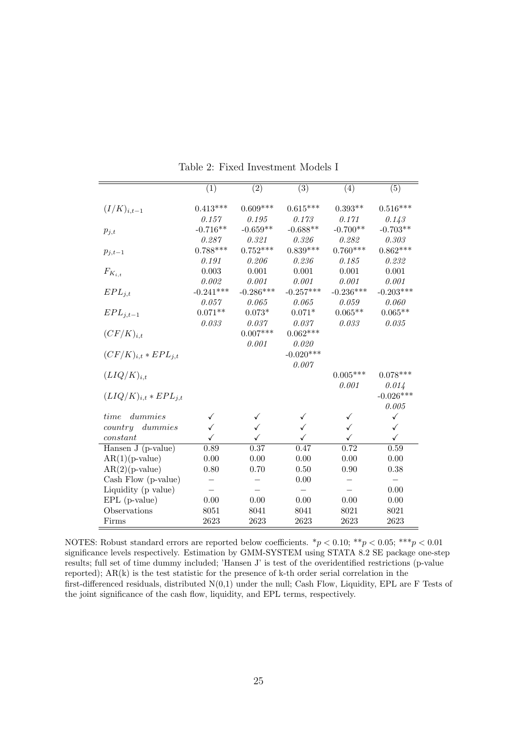|                            | $\overline{(1)}$ | $\overline{(2)}$ | $\overline{(3)}$ | $\overline{(4)}$ | $\overline{(5)}$ |
|----------------------------|------------------|------------------|------------------|------------------|------------------|
|                            |                  |                  |                  |                  |                  |
| $(I/K)_{i,t-1}$            | $0.413***$       | $0.609***$       | $0.615***$       | $0.393**$        | $0.516***$       |
|                            | 0.157            | 0.195            | 0.173            | 0.171            | 0.143            |
| $p_{j,t}$                  | $-0.716**$       | $-0.659**$       | $-0.688**$       | $-0.700**$       | $-0.703**$       |
|                            | 0.287            | 0.321            | 0.326            | 0.282            | 0.303            |
| $p_{j,t-1}$                | $0.788***$       | $0.752***$       | $0.839***$       | $0.760***$       | $0.862***$       |
|                            | 0.191            | 0.206            | 0.236            | 0.185            | 0.232            |
| $F_{K_{i,t}}$              | 0.003            | 0.001            | 0.001            | 0.001            | 0.001            |
|                            | 0.002            | 0.001            | 0.001            | 0.001            | 0.001            |
| $EPL_{j,t}$                | $-0.241***$      | $-0.286***$      | $-0.257***$      | $-0.236***$      | $-0.203***$      |
|                            | 0.057            | 0.065            | 0.065            | 0.059            | 0.060            |
| $EPL_{i,t-1}$              | $0.071**$        | $0.073*$         | $0.071*$         | $0.065**$        | $0.065**$        |
|                            | 0.033            | 0.037            | 0.037            | 0.033            | 0.035            |
| $(CF/K)_{i,t}$             |                  | $0.007***$       | $0.062***$       |                  |                  |
|                            |                  | 0.001            | 0.020            |                  |                  |
| $(CF/K)_{i,t} * EPL_{i,t}$ |                  |                  | $-0.020***$      |                  |                  |
|                            |                  |                  | 0.007            |                  |                  |
| $(LIQ/K)_{i,t}$            |                  |                  |                  | $0.005***$       | $0.078***$       |
|                            |                  |                  |                  | 0.001            | 0.014            |
| $(LIQ/K)_{i,t}*EPL_{i,t}$  |                  |                  |                  |                  | $-0.026***$      |
|                            |                  |                  |                  |                  | 0.005            |
| dummies<br>time            | ✓                | ✓                | ✓                | ✓                | ✓                |
| dummies<br>country         | ✓                | ✓                | ✓                | ✓                | ✓                |
| constant                   | ✓                | ✓                | ✓                | ✓                | $\checkmark$     |
| Hansen J (p-value)         | 0.89             | 0.37             | 0.47             | 0.72             | 0.59             |
| $AR(1)(p-value)$           | 0.00             | 0.00             | 0.00             | 0.00             | 0.00             |
| $AR(2)(p-value)$           | 0.80             | 0.70             | 0.50             | 0.90             | 0.38             |
| Cash Flow (p-value)        |                  |                  | 0.00             |                  |                  |
| Liquidity (p value)        |                  |                  |                  |                  | 0.00             |
| $EPL$ (p-value)            | 0.00             | 0.00             | 0.00             | 0.00             | 0.00             |
| Observations               | 8051             | 8041             | 8041             | 8021             | 8021             |
|                            |                  |                  |                  |                  |                  |
| Firms                      | 2623             | 2623             | 2623             | 2623             | 2623             |

Table 2: Fixed Investment Models I

NOTES: Robust standard errors are reported below coefficients.  $*p < 0.10; **p < 0.05; **p < 0.01$ significance levels respectively. Estimation by GMM-SYSTEM using STATA 8.2 SE package one-step results; full set of time dummy included; 'Hansen J' is test of the overidentified restrictions (p-value reported); AR(k) is the test statistic for the presence of k-th order serial correlation in the first-differenced residuals, distributed N(0,1) under the null; Cash Flow, Liquidity, EPL are F Tests of the joint significance of the cash flow, liquidity, and EPL terms, respectively.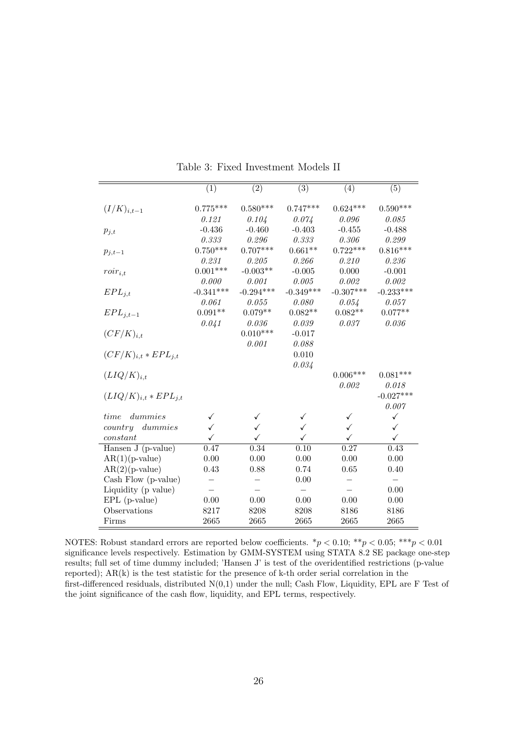|                            | $\overline{(1)}$ | $\overline{(2)}$ | $\overline{(3)}$ | (4)         | (5)         |
|----------------------------|------------------|------------------|------------------|-------------|-------------|
|                            |                  |                  |                  |             |             |
| $(I/K)_{i,t-1}$            | $0.775***$       | $0.580***$       | $0.747***$       | $0.624***$  | $0.590***$  |
|                            | 0.121            | 0.104            | 0.074            | 0.096       | 0.085       |
| $p_{j,t}$                  | $-0.436$         | $-0.460$         | $-0.403$         | $-0.455$    | $-0.488$    |
|                            | 0.333            | 0.296            | 0.333            | 0.306       | 0.299       |
| $p_{j,t-1}$                | $0.750***$       | $0.707***$       | $0.661**$        | $0.722***$  | $0.816***$  |
|                            | 0.231            | 0.205            | 0.266            | 0.210       | 0.236       |
| $roir_{i,t}$               | $0.001***$       | $-0.003**$       | $-0.005$         | 0.000       | $-0.001$    |
|                            | 0.000            | 0.001            | 0.005            | 0.002       | 0.002       |
| $EPL_{i,t}$                | $-0.341***$      | $-0.294***$      | $-0.349***$      | $-0.307***$ | $-0.233***$ |
|                            | 0.061            | 0.055            | 0.080            | 0.054       | 0.057       |
| $EPL_{j,t-1}$              | $0.091**$        | $0.079**$        | $0.082**$        | $0.082**$   | $0.077**$   |
|                            | 0.041            | $0.036\,$        | 0.039            | 0.037       | 0.036       |
| $(CF/K)_{i,t}$             |                  | $0.010***$       | $-0.017$         |             |             |
|                            |                  | 0.001            | 0.088            |             |             |
| $(CF/K)_{i,t} * EPL_{i,t}$ |                  |                  | 0.010            |             |             |
|                            |                  |                  | 0.034            |             |             |
| $(LIQ/K)_{i,t}$            |                  |                  |                  | $0.006***$  | $0.081***$  |
|                            |                  |                  |                  | 0.002       | $0.018\,$   |
| $(LIQ/K)_{i,t}*EPL_{i,t}$  |                  |                  |                  |             | $-0.027***$ |
|                            |                  |                  |                  |             | 0.007       |
| time<br>dummies            | ✓                |                  | ✓                | ✓           | ✓           |
| dummies<br>country         | ✓                |                  | ✓                | ✓           | ✓           |
| constant                   | ✓                | ✓                | ✓                | ✓           | ✓           |
| Hansen J (p-value)         | 0.47             | 0.34             | 0.10             | 0.27        | 0.43        |
| $AR(1)(p-value)$           | 0.00             | 0.00             | 0.00             | 0.00        | 0.00        |
| $AR(2)(p-value)$           | 0.43             | 0.88             | 0.74             | 0.65        | 0.40        |
| Cash Flow (p-value)        |                  |                  | 0.00             |             |             |
| Liquidity (p value)        |                  |                  |                  |             | 0.00        |
| $EPL$ (p-value)            | 0.00             | 0.00             | 0.00             | 0.00        | 0.00        |
| Observations               | 8217             | 8208             | 8208             | 8186        | 8186        |
| Firms                      | 2665             | 2665             | 2665             | 2665        | 2665        |

Table 3: Fixed Investment Models II

NOTES: Robust standard errors are reported below coefficients.  $*p < 0.10; **p < 0.05; **p < 0.01$ significance levels respectively. Estimation by GMM-SYSTEM using STATA 8.2 SE package one-step results; full set of time dummy included; 'Hansen J' is test of the overidentified restrictions (p-value reported); AR(k) is the test statistic for the presence of k-th order serial correlation in the first-differenced residuals, distributed N(0,1) under the null; Cash Flow, Liquidity, EPL are F Test of the joint significance of the cash flow, liquidity, and EPL terms, respectively.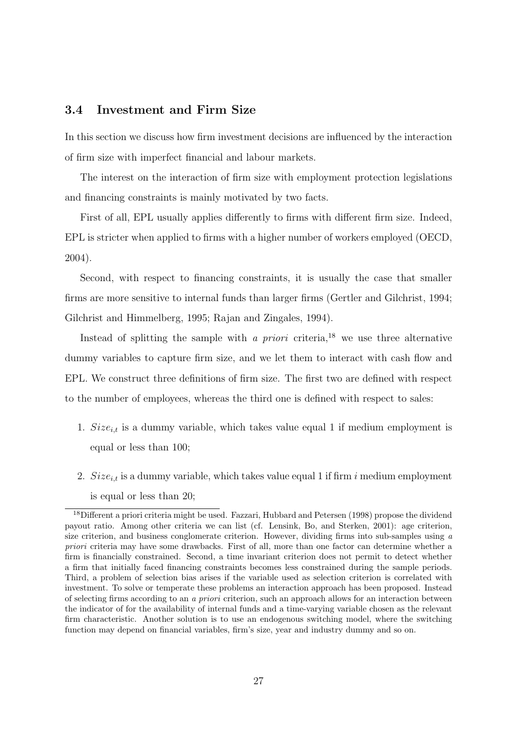#### 3.4 Investment and Firm Size

In this section we discuss how firm investment decisions are influenced by the interaction of firm size with imperfect financial and labour markets.

The interest on the interaction of firm size with employment protection legislations and financing constraints is mainly motivated by two facts.

First of all, EPL usually applies differently to firms with different firm size. Indeed, EPL is stricter when applied to firms with a higher number of workers employed (OECD, 2004).

Second, with respect to financing constraints, it is usually the case that smaller firms are more sensitive to internal funds than larger firms (Gertler and Gilchrist, 1994; Gilchrist and Himmelberg, 1995; Rajan and Zingales, 1994).

Instead of splitting the sample with a *priori* criteria,<sup>18</sup> we use three alternative dummy variables to capture firm size, and we let them to interact with cash flow and EPL. We construct three definitions of firm size. The first two are defined with respect to the number of employees, whereas the third one is defined with respect to sales:

- 1.  $Size_{i,t}$  is a dummy variable, which takes value equal 1 if medium employment is equal or less than 100;
- 2.  $Size_{i,t}$  is a dummy variable, which takes value equal 1 if firm i medium employment is equal or less than 20;

<sup>&</sup>lt;sup>18</sup>Different a priori criteria might be used. Fazzari, Hubbard and Petersen (1998) propose the dividend payout ratio. Among other criteria we can list (cf. Lensink, Bo, and Sterken, 2001): age criterion, size criterion, and business conglomerate criterion. However, dividing firms into sub-samples using  $a$ priori criteria may have some drawbacks. First of all, more than one factor can determine whether a firm is financially constrained. Second, a time invariant criterion does not permit to detect whether a firm that initially faced financing constraints becomes less constrained during the sample periods. Third, a problem of selection bias arises if the variable used as selection criterion is correlated with investment. To solve or temperate these problems an interaction approach has been proposed. Instead of selecting firms according to an a priori criterion, such an approach allows for an interaction between the indicator of for the availability of internal funds and a time-varying variable chosen as the relevant firm characteristic. Another solution is to use an endogenous switching model, where the switching function may depend on financial variables, firm's size, year and industry dummy and so on.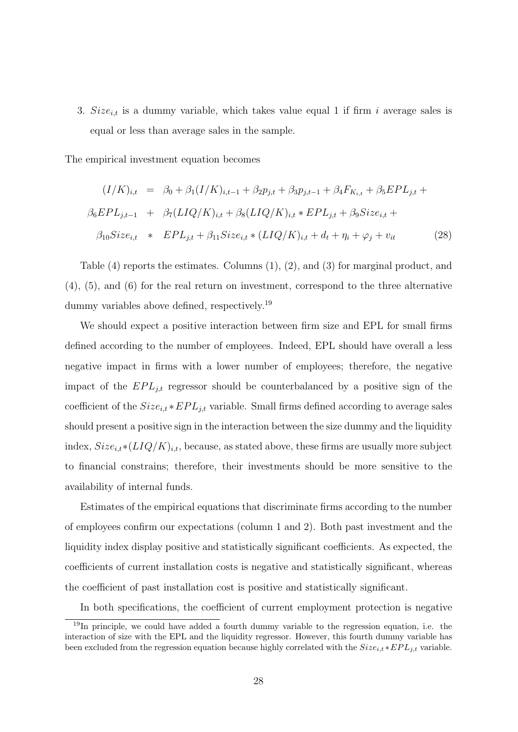3.  $Size_{i,t}$  is a dummy variable, which takes value equal 1 if firm i average sales is equal or less than average sales in the sample.

The empirical investment equation becomes

$$
(I/K)_{i,t} = \beta_0 + \beta_1 (I/K)_{i,t-1} + \beta_2 p_{j,t} + \beta_3 p_{j,t-1} + \beta_4 F_{K_{i,t}} + \beta_5 EPL_{j,t} +
$$
  

$$
\beta_6 EPL_{j,t-1} + \beta_7 (LIQ/K)_{i,t} + \beta_8 (LIQ/K)_{i,t} * EPL_{j,t} + \beta_9 Size_{i,t} +
$$
  

$$
\beta_{10} Size_{i,t} * EPL_{j,t} + \beta_{11} Size_{i,t} * (LIQ/K)_{i,t} + d_t + \eta_i + \varphi_j + v_{it}
$$
(28)

Table (4) reports the estimates. Columns (1), (2), and (3) for marginal product, and (4), (5), and (6) for the real return on investment, correspond to the three alternative dummy variables above defined, respectively.<sup>19</sup>

We should expect a positive interaction between firm size and EPL for small firms defined according to the number of employees. Indeed, EPL should have overall a less negative impact in firms with a lower number of employees; therefore, the negative impact of the  $EPL_{j,t}$  regressor should be counterbalanced by a positive sign of the coefficient of the  $Size_{i,t} * EPL_{j,t}$  variable. Small firms defined according to average sales should present a positive sign in the interaction between the size dummy and the liquidity index,  $Size_{i,t} * (LIQ/K)_{i,t}$ , because, as stated above, these firms are usually more subject to financial constrains; therefore, their investments should be more sensitive to the availability of internal funds.

Estimates of the empirical equations that discriminate firms according to the number of employees confirm our expectations (column 1 and 2). Both past investment and the liquidity index display positive and statistically significant coefficients. As expected, the coefficients of current installation costs is negative and statistically significant, whereas the coefficient of past installation cost is positive and statistically significant.

In both specifications, the coefficient of current employment protection is negative

 $19$ In principle, we could have added a fourth dummy variable to the regression equation, i.e. the interaction of size with the EPL and the liquidity regressor. However, this fourth dummy variable has been excluded from the regression equation because highly correlated with the  $Size_{i,t} * EPL_{j,t}$  variable.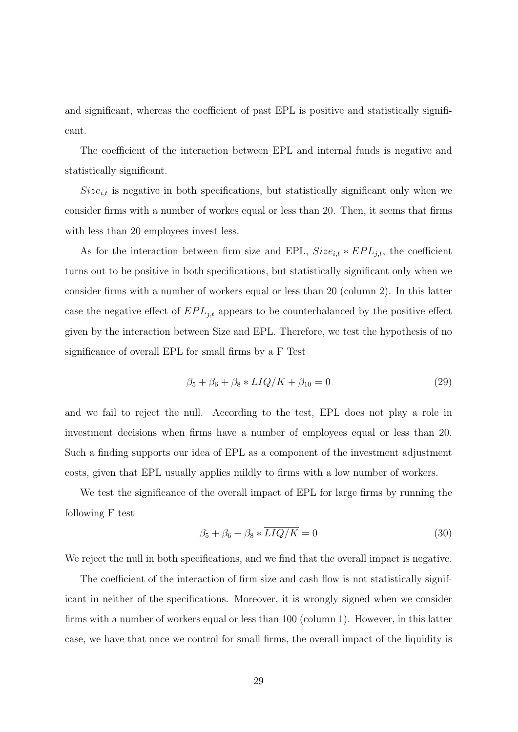and significant, whereas the coefficient of past EPL is positive and statistically significant.

The coefficient of the interaction between EPL and internal funds is negative and statistically significant.

 $Size_{i,t}$  is negative in both specifications, but statistically significant only when we consider firms with a number of workes equal or less than 20. Then, it seems that firms with less than 20 employees invest less.

As for the interaction between firm size and EPL,  $Size_{i,t} * EPL_{j,t}$ , the coefficient turns out to be positive in both specifications, but statistically significant only when we consider firms with a number of workers equal or less than 20 (column 2). In this latter case the negative effect of  $EPL_{j,t}$  appears to be counterbalanced by the positive effect given by the interaction between Size and EPL. Therefore, we test the hypothesis of no significance of overall EPL for small firms by a F Test

$$
\beta_5 + \beta_6 + \beta_8 * \overline{LIQ/K} + \beta_{10} = 0 \tag{29}
$$

and we fail to reject the null. According to the test, EPL does not play a role in investment decisions when firms have a number of employees equal or less than 20. Such a finding supports our idea of EPL as a component of the investment adjustment costs, given that EPL usually applies mildly to firms with a low number of workers.

We test the significance of the overall impact of EPL for large firms by running the following F test

$$
\beta_5 + \beta_6 + \beta_8 * \overline{LIQ/K} = 0 \tag{30}
$$

We reject the null in both specifications, and we find that the overall impact is negative.

The coefficient of the interaction of firm size and cash flow is not statistically significant in neither of the specifications. Moreover, it is wrongly signed when we consider firms with a number of workers equal or less than 100 (column 1). However, in this latter case, we have that once we control for small firms, the overall impact of the liquidity is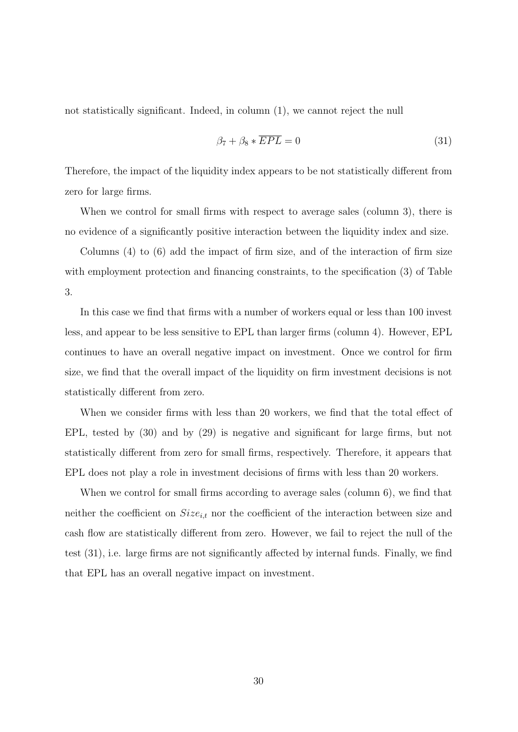not statistically significant. Indeed, in column (1), we cannot reject the null

$$
\beta_7 + \beta_8 * \overline{EPL} = 0 \tag{31}
$$

Therefore, the impact of the liquidity index appears to be not statistically different from zero for large firms.

When we control for small firms with respect to average sales (column 3), there is no evidence of a significantly positive interaction between the liquidity index and size.

Columns (4) to (6) add the impact of firm size, and of the interaction of firm size with employment protection and financing constraints, to the specification (3) of Table 3.

In this case we find that firms with a number of workers equal or less than 100 invest less, and appear to be less sensitive to EPL than larger firms (column 4). However, EPL continues to have an overall negative impact on investment. Once we control for firm size, we find that the overall impact of the liquidity on firm investment decisions is not statistically different from zero.

When we consider firms with less than 20 workers, we find that the total effect of EPL, tested by (30) and by (29) is negative and significant for large firms, but not statistically different from zero for small firms, respectively. Therefore, it appears that EPL does not play a role in investment decisions of firms with less than 20 workers.

When we control for small firms according to average sales (column 6), we find that neither the coefficient on  $Size_{i,t}$  nor the coefficient of the interaction between size and cash flow are statistically different from zero. However, we fail to reject the null of the test (31), i.e. large firms are not significantly affected by internal funds. Finally, we find that EPL has an overall negative impact on investment.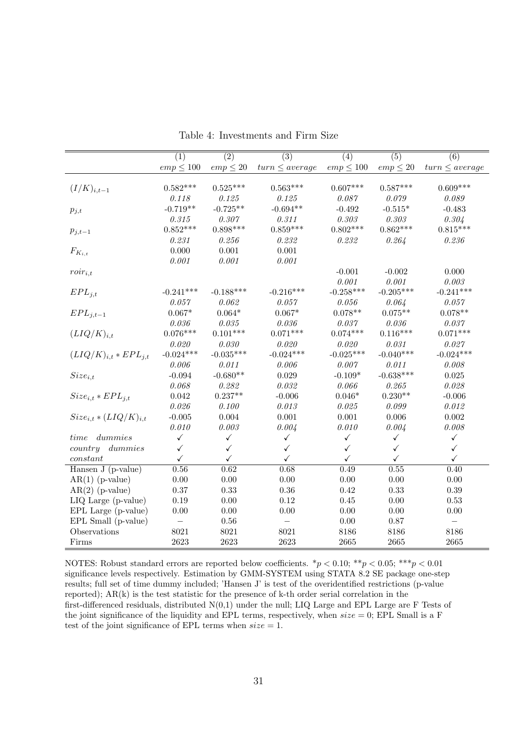|                              | (1)            | $\overline{(2)}$ | $\overline{(3)}$         | (4)            | $\overline{(5)}$ | $\overline{(6)}$   |
|------------------------------|----------------|------------------|--------------------------|----------------|------------------|--------------------|
|                              | $emp \leq 100$ | $emp \leq 20$    | $turn \le average$       | $emp \leq 100$ | $emp \leq 20$    | $turn \le average$ |
|                              |                |                  |                          |                |                  |                    |
| $(I/K)_{i,t-1}$              | $0.582***$     | $0.525***$       | $0.563***$               | $0.607***$     | $0.587***$       | $0.609***$         |
|                              | 0.118          | 0.125            | 0.125                    | 0.087          | 0.079            | 0.089              |
| $p_{j,t}$                    | $-0.719**$     | $-0.725**$       | $-0.694**$               | $-0.492$       | $-0.515*$        | $-0.483$           |
|                              | 0.315          | 0.307            | 0.311                    | 0.303          | 0.303            | $0.304\,$          |
| $p_{j,t-1}$                  | $0.852***$     | $0.898***$       | $0.859***$               | $0.802***$     | $0.862***$       | $0.815***$         |
|                              | 0.231          | 0.256            | 0.232                    | 0.232          | 0.264            | 0.236              |
| $F_{K_{i,t}}$                | 0.000          | 0.001            | 0.001                    |                |                  |                    |
|                              | 0.001          | 0.001            | 0.001                    |                |                  |                    |
| $roir_{i,t}$                 |                |                  |                          | $-0.001$       | $-0.002$         | 0.000              |
|                              |                |                  |                          | 0.001          | 0.001            | 0.003              |
| $EPL_{j,t}$                  | $-0.241***$    | $-0.188***$      | $-0.216***$              | $-0.258***$    | $-0.205***$      | $-0.241***$        |
|                              | 0.057          | 0.062            | 0.057                    | 0.056          | 0.064            | 0.057              |
| $EPL_{j,t-1}$                | $0.067*$       | $0.064*$         | $0.067*$                 | $0.078**$      | $0.075**$        | $0.078**$          |
|                              | 0.036          | 0.035            | 0.036                    | 0.037          | 0.036            | 0.037              |
| $(LIQ/K)_{i,t}$              | $0.076***$     | $0.101***$       | $0.071***$               | $0.074***$     | $0.116***$       | $0.071***$         |
|                              | 0.020          | $0.030\,$        | 0.020                    | 0.020          | 0.031            | $\it 0.027$        |
| $(LIQ/K)_{i,t}*EPL_{j,t}$    | $-0.024***$    | $-0.035***$      | $-0.024***$              | $-0.025***$    | $-0.040***$      | $-0.024***$        |
|                              | 0.006          | 0.011            | 0.006                    | 0.007          | 0.011            | 0.008              |
| $Size_{i,t}$                 | $-0.094$       | $-0.680**$       | 0.029                    | $-0.109*$      | $-0.638***$      | 0.025              |
|                              | 0.068          | 0.282            | 0.032                    | 0.066          | 0.265            | 0.028              |
| $Size_{i,t}*EPL_{i,t}$       | 0.042          | $0.237**$        | $-0.006$                 | $0.046*$       | $0.230**$        | $-0.006$           |
|                              | 0.026          | 0.100            | 0.013                    | 0.025          | 0.099            | 0.012              |
| $Size_{i,t} * (LIQ/K)_{i,t}$ | $-0.005$       | $0.004\,$        | $0.001\,$                | $0.001\,$      | 0.006            | $0.002\,$          |
|                              | 0.010          | 0.003            | 0.004                    | 0.010          | 0.004            | 0.008              |
| dummies<br>time              | $\checkmark$   | $\checkmark$     | $\checkmark$             | $\checkmark$   | $\checkmark$     | $\checkmark$       |
| dummies<br>country           | $\checkmark$   | $\checkmark$     | $\checkmark$             | ✓              | $\checkmark$     | $\checkmark$       |
| constant                     | ✓              | $\checkmark$     | $\checkmark$             | ✓              | ✓                | ✓                  |
| Hansen J (p-value)           | $0.56\,$       | 0.62             | 0.68                     | 0.49           | $0.55\,$         | 0.40               |
| $AR(1)$ (p-value)            | 0.00           | 0.00             | 0.00                     | 0.00           | $0.00\,$         | 0.00               |
| $AR(2)$ (p-value)            | $0.37\,$       | 0.33             | $0.36\,$                 | 0.42           | 0.33             | $0.39\,$           |
| LIQ Large (p-value)          | 0.19           | 0.00             | 0.12                     | 0.45           | 0.00             | 0.53               |
| EPL Large (p-value)          | 0.00           | 0.00             | 0.00                     | 0.00           | 0.00             | 0.00               |
| EPL Small (p-value)          | $\equiv$       | 0.56             | $\overline{\phantom{0}}$ | 0.00           | 0.87             | $\qquad \qquad -$  |
| Observations                 | 8021           | 8021             | 8021                     | 8186           | 8186             | 8186               |
| Firms                        | 2623           | 2623             | 2623                     | 2665           | 2665             | 2665               |

Table 4: Investments and Firm Size

NOTES: Robust standard errors are reported below coefficients.  $\binom{*}{p}$  < 0.10;  $\binom{*}{p}$  < 0.05;  $\binom{*}{p}$  < 0.01 significance levels respectively. Estimation by GMM-SYSTEM using STATA 8.2 SE package one-step results; full set of time dummy included; 'Hansen J' is test of the overidentified restrictions (p-value reported); AR(k) is the test statistic for the presence of k-th order serial correlation in the first-differenced residuals, distributed N(0,1) under the null; LIQ Large and EPL Large are F Tests of the joint significance of the liquidity and EPL terms, respectively, when  $size = 0$ ; EPL Small is a F test of the joint significance of EPL terms when  $size = 1$ .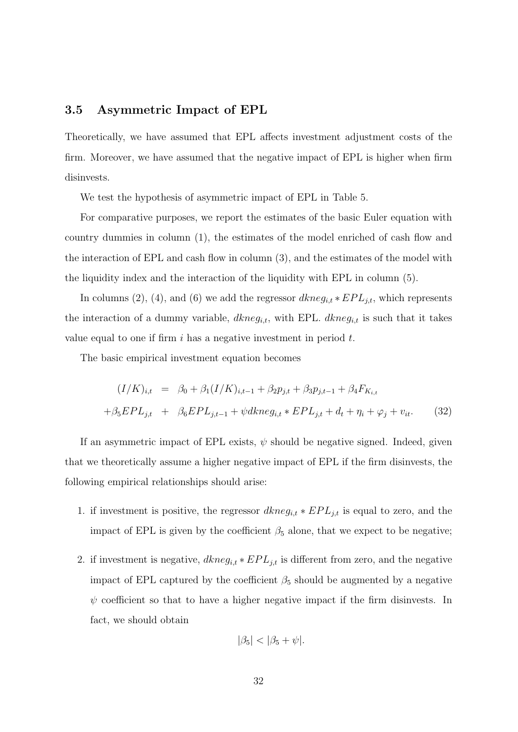#### 3.5 Asymmetric Impact of EPL

Theoretically, we have assumed that EPL affects investment adjustment costs of the firm. Moreover, we have assumed that the negative impact of EPL is higher when firm disinvests.

We test the hypothesis of asymmetric impact of EPL in Table 5.

For comparative purposes, we report the estimates of the basic Euler equation with country dummies in column (1), the estimates of the model enriched of cash flow and the interaction of EPL and cash flow in column (3), and the estimates of the model with the liquidity index and the interaction of the liquidity with EPL in column (5).

In columns (2), (4), and (6) we add the regressor  $dkneg_{i,t} * EPL_{j,t}$ , which represents the interaction of a dummy variable,  $dkneg_{i,t}$ , with EPL.  $dkneg_{i,t}$  is such that it takes value equal to one if firm  $i$  has a negative investment in period  $t$ .

The basic empirical investment equation becomes

$$
(I/K)_{i,t} = \beta_0 + \beta_1 (I/K)_{i,t-1} + \beta_2 p_{j,t} + \beta_3 p_{j,t-1} + \beta_4 F_{K_{i,t}}
$$
  
+  $\beta_5 EPL_{j,t} + \beta_6 EPL_{j,t-1} + \psi dkn e g_{i,t} * EPL_{j,t} + d_t + \eta_i + \varphi_j + v_{it}.$  (32)

If an asymmetric impact of EPL exists,  $\psi$  should be negative signed. Indeed, given that we theoretically assume a higher negative impact of EPL if the firm disinvests, the following empirical relationships should arise:

- 1. if investment is positive, the regressor  $dkneg_{i,t} * EPL_{j,t}$  is equal to zero, and the impact of EPL is given by the coefficient  $\beta_5$  alone, that we expect to be negative;
- 2. if investment is negative,  $dkneg_{i,t} * EPL_{j,t}$  is different from zero, and the negative impact of EPL captured by the coefficient  $\beta_5$  should be augmented by a negative  $\psi$  coefficient so that to have a higher negative impact if the firm disinvests. In fact, we should obtain

$$
|\beta_5| < |\beta_5 + \psi|.
$$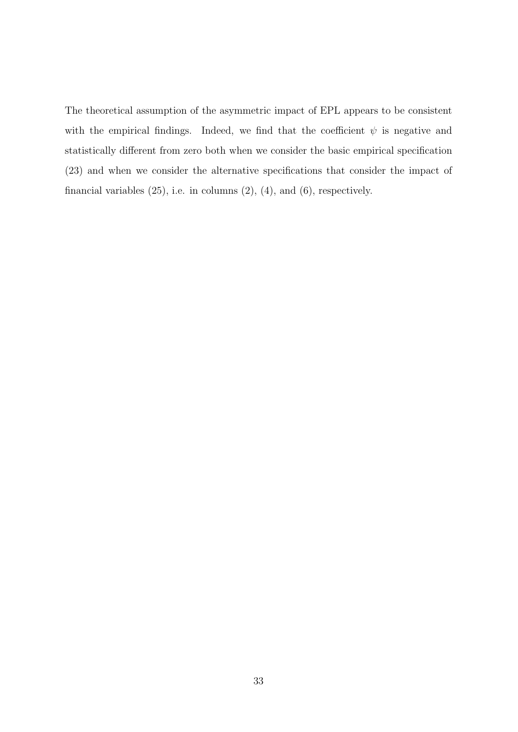The theoretical assumption of the asymmetric impact of EPL appears to be consistent with the empirical findings. Indeed, we find that the coefficient  $\psi$  is negative and statistically different from zero both when we consider the basic empirical specification (23) and when we consider the alternative specifications that consider the impact of financial variables  $(25)$ , i.e. in columns  $(2)$ ,  $(4)$ , and  $(6)$ , respectively.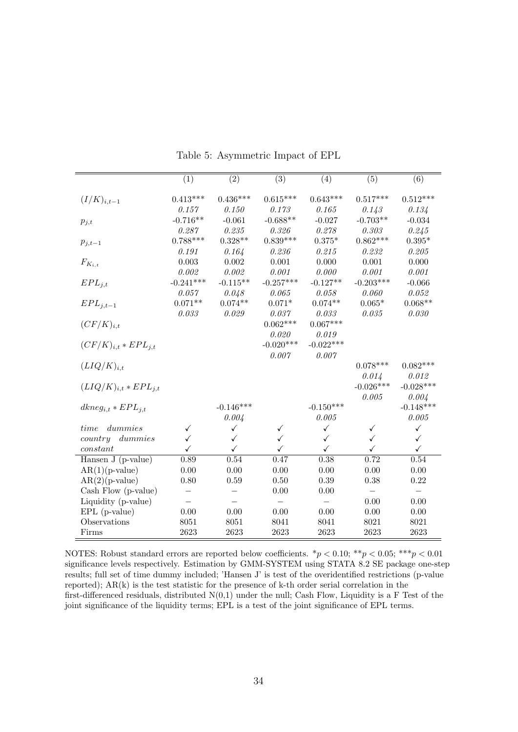|                                        | $\overline{(1)}$ | $\overline{(2)}$ | $\overline{(3)}$ | (4)          | $\overline{(5)}$ | $\overline{(6)}$ |
|----------------------------------------|------------------|------------------|------------------|--------------|------------------|------------------|
|                                        |                  |                  |                  |              |                  |                  |
| $(I/K)_{i,t-1}$                        | $0.413***$       | $0.436***$       | $0.615***$       | $0.643***$   | $0.517***$       | $0.512***$       |
|                                        | 0.157            | 0.150            | 0.173            | 0.165        | 0.143            | 0.134            |
| $p_{j,t}$                              | $-0.716**$       | $-0.061$         | $-0.688**$       | $-0.027$     | $-0.703**$       | $-0.034$         |
|                                        | 0.287            | 0.235            | 0.326            | 0.278        | 0.303            | 0.245            |
| $p_{j,t-1}$                            | $0.788***$       | $0.328**$        | $0.839***$       | $0.375*$     | $0.862***$       | $0.395*$         |
|                                        | 0.191            | 0.164            | 0.236            | 0.215        | 0.232            | 0.205            |
| $F_{K_{i,t}}$                          | 0.003            | 0.002            | 0.001            | 0.000        | 0.001            | 0.000            |
|                                        | 0.002            | 0.002            | 0.001            | 0.000        | 0.001            | 0.001            |
| $EPL_{j,t}$                            | $-0.241***$      | $-0.115**$       | $-0.257***$      | $-0.127**$   | $-0.203***$      | $-0.066$         |
|                                        | 0.057            | 0.048            | 0.065            | $0.058\,$    | 0.060            | 0.052            |
| $EPL_{j,t-1}$                          | $0.071**$        | $0.074**$        | $0.071*$         | $0.074**$    | $0.065*$         | $0.068**$        |
|                                        | $0.033\,$        | 0.029            | 0.037            | 0.033        | 0.035            | 0.030            |
| $(CF/K)_{i,t}$                         |                  |                  | $0.062***$       | $0.067***$   |                  |                  |
|                                        |                  |                  | 0.020            | 0.019        |                  |                  |
| $(CF/K)_{i,t}*EPL_{j,t}$               |                  |                  | $-0.020***$      | $-0.022***$  |                  |                  |
|                                        |                  |                  | 0.007            | 0.007        |                  |                  |
| $(LIQ/K)_{i,t}$                        |                  |                  |                  |              | $0.078***$       | $0.082***$       |
|                                        |                  |                  |                  |              | 0.014            | 0.012            |
| $(LIQ/K)_{i,t} * EPL_{j,t}$            |                  |                  |                  |              | $-0.026***$      | $-0.028***$      |
|                                        |                  |                  |                  |              | 0.005            | 0.004            |
| $dkneg_{i,t}*EPL_{j,t}$                |                  | $-0.146***$      |                  | $-0.150***$  |                  | $-0.148***$      |
|                                        |                  | 0.004            |                  | 0.005        |                  | 0.005            |
| dummies<br>time                        | $\checkmark$     | $\checkmark$     | ✓                | $\checkmark$ | $\checkmark$     | $\checkmark$     |
| dummies<br>country                     | $\checkmark$     | ✓                | ✓                | $\checkmark$ | $\checkmark$     | $\checkmark$     |
| constant                               | $\checkmark$     | $\checkmark$     | ✓                | $\checkmark$ | ✓                | $\checkmark$     |
| $\overline{\text{Hansen}}$ J (p-value) | 0.89             | 0.54             | 0.47             | 0.38         | 0.72             | $0.54\,$         |
| $AR(1)(p-value)$                       | 0.00             | 0.00             | 0.00             | 0.00         | 0.00             | 0.00             |
| $AR(2)(p-value)$                       | 0.80             | 0.59             | 0.50             | 0.39         | 0.38             | 0.22             |
| Cash Flow (p-value)                    |                  |                  | 0.00             | 0.00         |                  |                  |
| Liquidity (p-value)                    |                  |                  |                  |              | 0.00             | 0.00             |
| $EPL$ (p-value)                        | 0.00             | 0.00             | 0.00             | 0.00         | 0.00             | 0.00             |
| Observations                           | 8051             | 8051             | 8041             | 8041         | 8021             | 8021             |
| Firms                                  | 2623             | 2623             | 2623             | 2623         | 2623             | 2623             |

Table 5: Asymmetric Impact of EPL

NOTES: Robust standard errors are reported below coefficients.  $*p < 0.10; **p < 0.05; **p < 0.01$ significance levels respectively. Estimation by GMM-SYSTEM using STATA 8.2 SE package one-step results; full set of time dummy included; 'Hansen J' is test of the overidentified restrictions (p-value reported); AR(k) is the test statistic for the presence of k-th order serial correlation in the first-differenced residuals, distributed  $N(0,1)$  under the null; Cash Flow, Liquidity is a F Test of the joint significance of the liquidity terms; EPL is a test of the joint significance of EPL terms.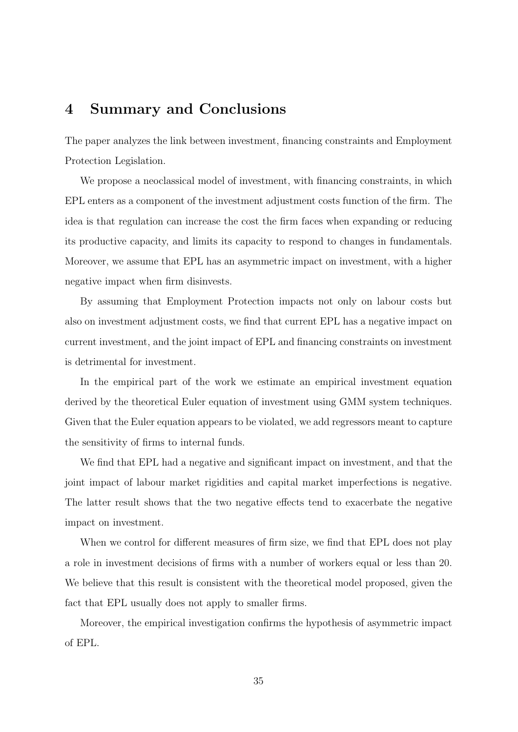### 4 Summary and Conclusions

The paper analyzes the link between investment, financing constraints and Employment Protection Legislation.

We propose a neoclassical model of investment, with financing constraints, in which EPL enters as a component of the investment adjustment costs function of the firm. The idea is that regulation can increase the cost the firm faces when expanding or reducing its productive capacity, and limits its capacity to respond to changes in fundamentals. Moreover, we assume that EPL has an asymmetric impact on investment, with a higher negative impact when firm disinvests.

By assuming that Employment Protection impacts not only on labour costs but also on investment adjustment costs, we find that current EPL has a negative impact on current investment, and the joint impact of EPL and financing constraints on investment is detrimental for investment.

In the empirical part of the work we estimate an empirical investment equation derived by the theoretical Euler equation of investment using GMM system techniques. Given that the Euler equation appears to be violated, we add regressors meant to capture the sensitivity of firms to internal funds.

We find that EPL had a negative and significant impact on investment, and that the joint impact of labour market rigidities and capital market imperfections is negative. The latter result shows that the two negative effects tend to exacerbate the negative impact on investment.

When we control for different measures of firm size, we find that EPL does not play a role in investment decisions of firms with a number of workers equal or less than 20. We believe that this result is consistent with the theoretical model proposed, given the fact that EPL usually does not apply to smaller firms.

Moreover, the empirical investigation confirms the hypothesis of asymmetric impact of EPL.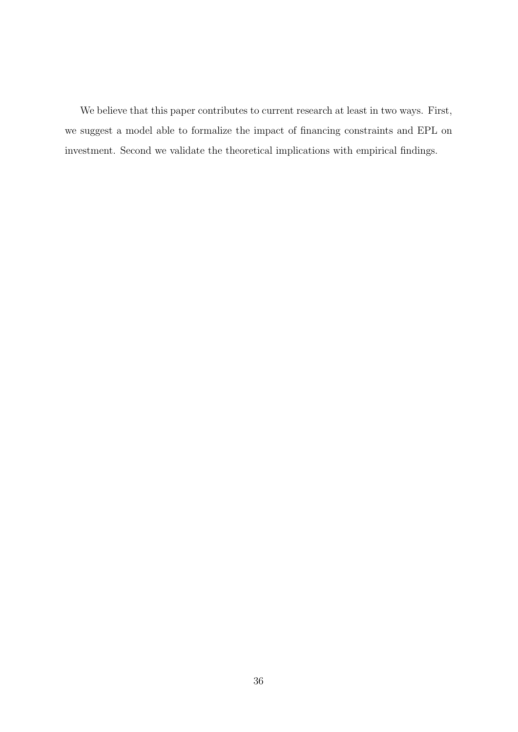We believe that this paper contributes to current research at least in two ways. First, we suggest a model able to formalize the impact of financing constraints and EPL on investment. Second we validate the theoretical implications with empirical findings.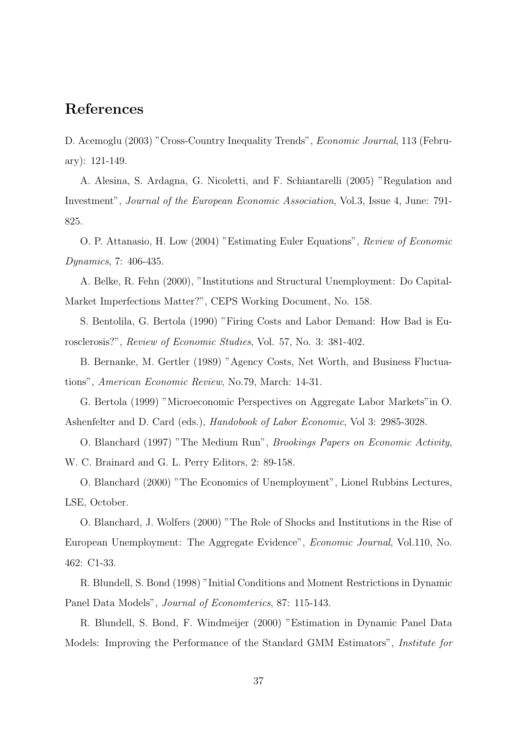### References

D. Acemoglu (2003) "Cross-Country Inequality Trends", Economic Journal, 113 (February): 121-149.

A. Alesina, S. Ardagna, G. Nicoletti, and F. Schiantarelli (2005) "Regulation and Investment", Journal of the European Economic Association, Vol.3, Issue 4, June: 791- 825.

O. P. Attanasio, H. Low (2004) "Estimating Euler Equations", Review of Economic Dynamics, 7: 406-435.

A. Belke, R. Fehn (2000), "Institutions and Structural Unemployment: Do Capital-Market Imperfections Matter?", CEPS Working Document, No. 158.

S. Bentolila, G. Bertola (1990) "Firing Costs and Labor Demand: How Bad is Eurosclerosis?", Review of Economic Studies, Vol. 57, No. 3: 381-402.

B. Bernanke, M. Gertler (1989) "Agency Costs, Net Worth, and Business Fluctuations", American Economic Review, No.79, March: 14-31.

G. Bertola (1999) "Microeconomic Perspectives on Aggregate Labor Markets"in O. Ashenfelter and D. Card (eds.), Handobook of Labor Economic, Vol 3: 2985-3028.

O. Blanchard (1997) "The Medium Run", Brookings Papers on Economic Activity, W. C. Brainard and G. L. Perry Editors, 2: 89-158.

O. Blanchard (2000) "The Economics of Unemployment", Lionel Rubbins Lectures, LSE, October.

O. Blanchard, J. Wolfers (2000) "The Role of Shocks and Institutions in the Rise of European Unemployment: The Aggregate Evidence", Economic Journal, Vol.110, No. 462: C1-33.

R. Blundell, S. Bond (1998) "Initial Conditions and Moment Restrictions in Dynamic Panel Data Models", Journal of Economterics, 87: 115-143.

R. Blundell, S. Bond, F. Windmeijer (2000) "Estimation in Dynamic Panel Data Models: Improving the Performance of the Standard GMM Estimators", Institute for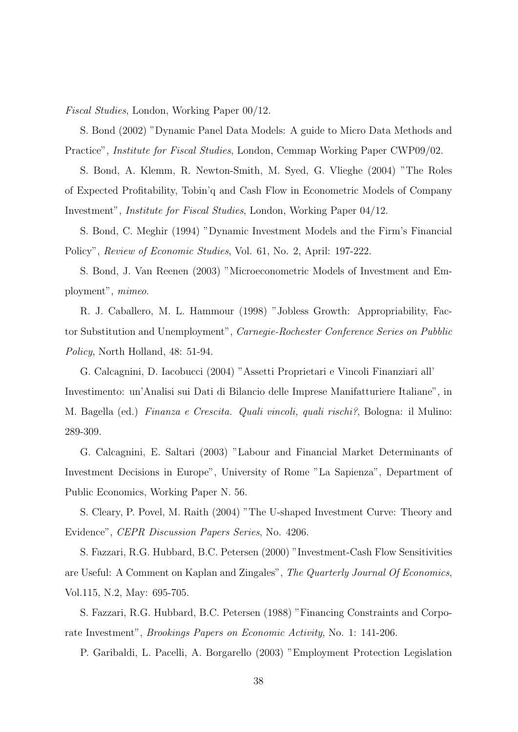Fiscal Studies, London, Working Paper 00/12.

S. Bond (2002) "Dynamic Panel Data Models: A guide to Micro Data Methods and Practice", Institute for Fiscal Studies, London, Cemmap Working Paper CWP09/02.

S. Bond, A. Klemm, R. Newton-Smith, M. Syed, G. Vlieghe (2004) "The Roles of Expected Profitability, Tobin'q and Cash Flow in Econometric Models of Company Investment", Institute for Fiscal Studies, London, Working Paper 04/12.

S. Bond, C. Meghir (1994) "Dynamic Investment Models and the Firm's Financial Policy", Review of Economic Studies, Vol. 61, No. 2, April: 197-222.

S. Bond, J. Van Reenen (2003) "Microeconometric Models of Investment and Employment", mimeo.

R. J. Caballero, M. L. Hammour (1998) "Jobless Growth: Appropriability, Factor Substitution and Unemployment", Carnegie-Rochester Conference Series on Pubblic Policy, North Holland, 48: 51-94.

G. Calcagnini, D. Iacobucci (2004) "Assetti Proprietari e Vincoli Finanziari all' Investimento: un'Analisi sui Dati di Bilancio delle Imprese Manifatturiere Italiane", in M. Bagella (ed.) Finanza e Crescita. Quali vincoli, quali rischi?, Bologna: il Mulino: 289-309.

G. Calcagnini, E. Saltari (2003) "Labour and Financial Market Determinants of Investment Decisions in Europe", University of Rome "La Sapienza", Department of Public Economics, Working Paper N. 56.

S. Cleary, P. Povel, M. Raith (2004) "The U-shaped Investment Curve: Theory and Evidence", CEPR Discussion Papers Series, No. 4206.

S. Fazzari, R.G. Hubbard, B.C. Petersen (2000) "Investment-Cash Flow Sensitivities are Useful: A Comment on Kaplan and Zingales", The Quarterly Journal Of Economics, Vol.115, N.2, May: 695-705.

S. Fazzari, R.G. Hubbard, B.C. Petersen (1988) "Financing Constraints and Corporate Investment", Brookings Papers on Economic Activity, No. 1: 141-206.

P. Garibaldi, L. Pacelli, A. Borgarello (2003) "Employment Protection Legislation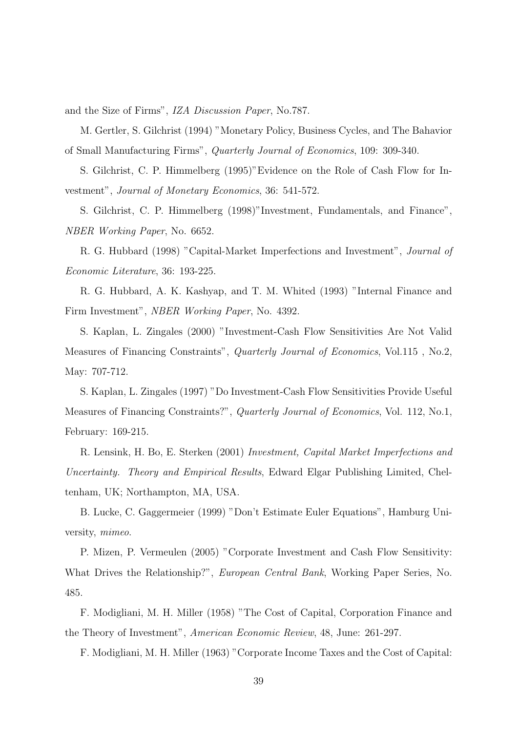and the Size of Firms", IZA Discussion Paper, No.787.

M. Gertler, S. Gilchrist (1994) "Monetary Policy, Business Cycles, and The Bahavior of Small Manufacturing Firms", Quarterly Journal of Economics, 109: 309-340.

S. Gilchrist, C. P. Himmelberg (1995)"Evidence on the Role of Cash Flow for Investment", Journal of Monetary Economics, 36: 541-572.

S. Gilchrist, C. P. Himmelberg (1998)"Investment, Fundamentals, and Finance", NBER Working Paper, No. 6652.

R. G. Hubbard (1998) "Capital-Market Imperfections and Investment", Journal of Economic Literature, 36: 193-225.

R. G. Hubbard, A. K. Kashyap, and T. M. Whited (1993) "Internal Finance and Firm Investment", NBER Working Paper, No. 4392.

S. Kaplan, L. Zingales (2000) "Investment-Cash Flow Sensitivities Are Not Valid Measures of Financing Constraints", Quarterly Journal of Economics, Vol.115 , No.2, May: 707-712.

S. Kaplan, L. Zingales (1997) "Do Investment-Cash Flow Sensitivities Provide Useful Measures of Financing Constraints?", Quarterly Journal of Economics, Vol. 112, No.1, February: 169-215.

R. Lensink, H. Bo, E. Sterken (2001) Investment, Capital Market Imperfections and Uncertainty. Theory and Empirical Results, Edward Elgar Publishing Limited, Cheltenham, UK; Northampton, MA, USA.

B. Lucke, C. Gaggermeier (1999) "Don't Estimate Euler Equations", Hamburg University, mimeo.

P. Mizen, P. Vermeulen (2005) "Corporate Investment and Cash Flow Sensitivity: What Drives the Relationship?", European Central Bank, Working Paper Series, No. 485.

F. Modigliani, M. H. Miller (1958) "The Cost of Capital, Corporation Finance and the Theory of Investment", American Economic Review, 48, June: 261-297.

F. Modigliani, M. H. Miller (1963) "Corporate Income Taxes and the Cost of Capital: